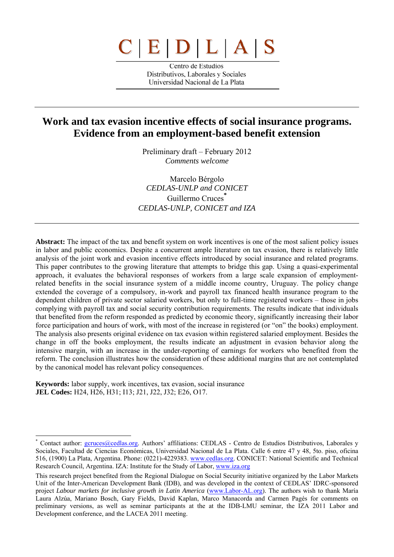# $C|E|D|L|A|$

Centro de Estudios Distributivos, Laborales y Sociales Universidad Nacional de La Plata

## **Work and tax evasion incentive effects of social insurance programs. Evidence from an employment-based benefit extension**

Preliminary draft – February 2012 *Comments welcome* 

Marcelo Bérgolo *CEDLAS-UNLP and CONICET*  Guillermo Cruces<sup>\*</sup> *CEDLAS-UNLP, CONICET and IZA*

**Abstract:** The impact of the tax and benefit system on work incentives is one of the most salient policy issues in labor and public economics. Despite a concurrent ample literature on tax evasion, there is relatively little analysis of the joint work and evasion incentive effects introduced by social insurance and related programs. This paper contributes to the growing literature that attempts to bridge this gap. Using a quasi-experimental approach, it evaluates the behavioral responses of workers from a large scale expansion of employmentrelated benefits in the social insurance system of a middle income country, Uruguay. The policy change extended the coverage of a compulsory, in-work and payroll tax financed health insurance program to the dependent children of private sector salaried workers, but only to full-time registered workers – those in jobs complying with payroll tax and social security contribution requirements. The results indicate that individuals that benefited from the reform responded as predicted by economic theory, significantly increasing their labor force participation and hours of work, with most of the increase in registered (or "on" the books) employment. The analysis also presents original evidence on tax evasion within registered salaried employment. Besides the change in off the books employment, the results indicate an adjustment in evasion behavior along the intensive margin, with an increase in the under-reporting of earnings for workers who benefited from the reform. The conclusion illustrates how the consideration of these additional margins that are not contemplated by the canonical model has relevant policy consequences.

**Keywords:** labor supply, work incentives, tax evasion, social insurance **JEL Codes:** H24, H26, H31; I13; J21, J22, J32; E26, O17.

<sup>\*</sup> Contact author: gcruces@cedlas.org. Authors' affiliations: CEDLAS - Centro de Estudios Distributivos, Laborales y Sociales, Facultad de Ciencias Económicas, Universidad Nacional de La Plata. Calle 6 entre 47 y 48, 5to. piso, oficina 516, (1900) La Plata, Argentina. Phone: (0221)-4229383. www.cedlas.org. CONICET: National Scientific and Technical Research Council, Argentina. IZA: Institute for the Study of Labor, www.iza.org

This research project benefited from the Regional Dialogue on Social Security initiative organized by the Labor Markets Unit of the Inter-American Development Bank (IDB), and was developed in the context of CEDLAS' IDRC-sponsored project *Labour markets for inclusive growth in Latin America* (www.Labor-AL.org). The authors wish to thank María Laura Alzúa, Mariano Bosch, Gary Fields, David Kaplan, Marco Manacorda and Carmen Pagés for comments on preliminary versions, as well as seminar participants at the at the IDB-LMU seminar, the IZA 2011 Labor and Development conference, and the LACEA 2011 meeting.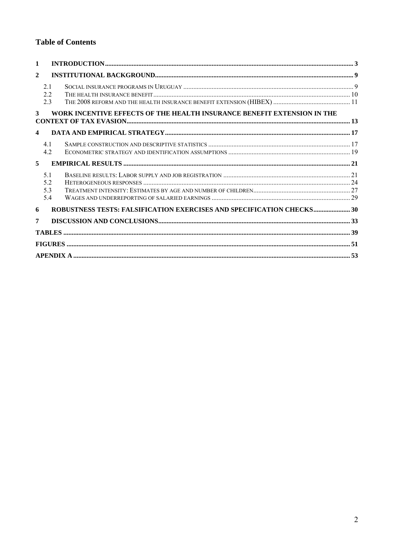#### **Table of Contents**

| 1                    |                          |                                                                         |  |
|----------------------|--------------------------|-------------------------------------------------------------------------|--|
| $\mathbf{2}$         |                          |                                                                         |  |
|                      | 2.1<br>22<br>2.3         |                                                                         |  |
| 3                    |                          | WORK INCENTIVE EFFECTS OF THE HEALTH INSURANCE BENEFIT EXTENSION IN THE |  |
| $\blacktriangleleft$ |                          |                                                                         |  |
|                      | 4.1<br>4.2               |                                                                         |  |
| 5                    |                          |                                                                         |  |
|                      | 5 1<br>5.2<br>5.3<br>5.4 |                                                                         |  |
| 6                    |                          | ROBUSTNESS TESTS: FALSIFICATION EXERCISES AND SPECIFICATION CHECKS 30   |  |
| 7                    |                          |                                                                         |  |
|                      |                          |                                                                         |  |
|                      |                          |                                                                         |  |
|                      |                          |                                                                         |  |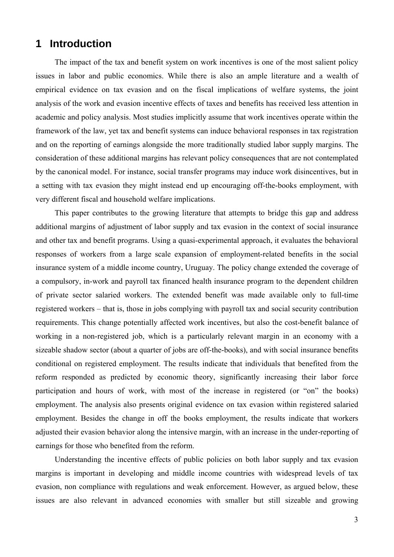## **1 Introduction**

The impact of the tax and benefit system on work incentives is one of the most salient policy issues in labor and public economics. While there is also an ample literature and a wealth of empirical evidence on tax evasion and on the fiscal implications of welfare systems, the joint analysis of the work and evasion incentive effects of taxes and benefits has received less attention in academic and policy analysis. Most studies implicitly assume that work incentives operate within the framework of the law, yet tax and benefit systems can induce behavioral responses in tax registration and on the reporting of earnings alongside the more traditionally studied labor supply margins. The consideration of these additional margins has relevant policy consequences that are not contemplated by the canonical model. For instance, social transfer programs may induce work disincentives, but in a setting with tax evasion they might instead end up encouraging off-the-books employment, with very different fiscal and household welfare implications.

This paper contributes to the growing literature that attempts to bridge this gap and address additional margins of adjustment of labor supply and tax evasion in the context of social insurance and other tax and benefit programs. Using a quasi-experimental approach, it evaluates the behavioral responses of workers from a large scale expansion of employment-related benefits in the social insurance system of a middle income country, Uruguay. The policy change extended the coverage of a compulsory, in-work and payroll tax financed health insurance program to the dependent children of private sector salaried workers. The extended benefit was made available only to full-time registered workers – that is, those in jobs complying with payroll tax and social security contribution requirements. This change potentially affected work incentives, but also the cost-benefit balance of working in a non-registered job, which is a particularly relevant margin in an economy with a sizeable shadow sector (about a quarter of jobs are off-the-books), and with social insurance benefits conditional on registered employment. The results indicate that individuals that benefited from the reform responded as predicted by economic theory, significantly increasing their labor force participation and hours of work, with most of the increase in registered (or "on" the books) employment. The analysis also presents original evidence on tax evasion within registered salaried employment. Besides the change in off the books employment, the results indicate that workers adjusted their evasion behavior along the intensive margin, with an increase in the under-reporting of earnings for those who benefited from the reform.

Understanding the incentive effects of public policies on both labor supply and tax evasion margins is important in developing and middle income countries with widespread levels of tax evasion, non compliance with regulations and weak enforcement. However, as argued below, these issues are also relevant in advanced economies with smaller but still sizeable and growing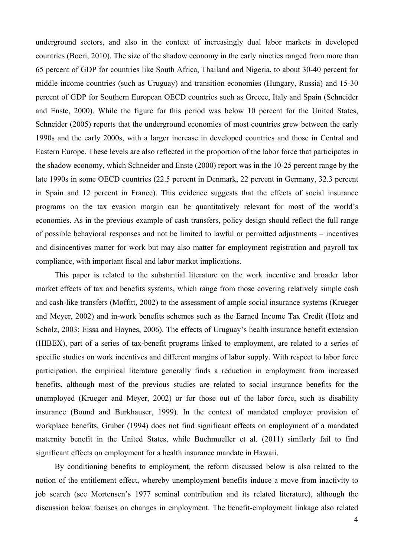underground sectors, and also in the context of increasingly dual labor markets in developed countries (Boeri, 2010). The size of the shadow economy in the early nineties ranged from more than 65 percent of GDP for countries like South Africa, Thailand and Nigeria, to about 30-40 percent for middle income countries (such as Uruguay) and transition economies (Hungary, Russia) and 15-30 percent of GDP for Southern European OECD countries such as Greece, Italy and Spain (Schneider and Enste, 2000). While the figure for this period was below 10 percent for the United States, Schneider (2005) reports that the underground economies of most countries grew between the early 1990s and the early 2000s, with a larger increase in developed countries and those in Central and Eastern Europe. These levels are also reflected in the proportion of the labor force that participates in the shadow economy, which Schneider and Enste (2000) report was in the 10-25 percent range by the late 1990s in some OECD countries (22.5 percent in Denmark, 22 percent in Germany, 32.3 percent in Spain and 12 percent in France). This evidence suggests that the effects of social insurance programs on the tax evasion margin can be quantitatively relevant for most of the world's economies. As in the previous example of cash transfers, policy design should reflect the full range of possible behavioral responses and not be limited to lawful or permitted adjustments – incentives and disincentives matter for work but may also matter for employment registration and payroll tax compliance, with important fiscal and labor market implications.

This paper is related to the substantial literature on the work incentive and broader labor market effects of tax and benefits systems, which range from those covering relatively simple cash and cash-like transfers (Moffitt, 2002) to the assessment of ample social insurance systems (Krueger and Meyer, 2002) and in-work benefits schemes such as the Earned Income Tax Credit (Hotz and Scholz, 2003; Eissa and Hoynes, 2006). The effects of Uruguay's health insurance benefit extension (HIBEX), part of a series of tax-benefit programs linked to employment, are related to a series of specific studies on work incentives and different margins of labor supply. With respect to labor force participation, the empirical literature generally finds a reduction in employment from increased benefits, although most of the previous studies are related to social insurance benefits for the unemployed (Krueger and Meyer, 2002) or for those out of the labor force, such as disability insurance (Bound and Burkhauser, 1999). In the context of mandated employer provision of workplace benefits, Gruber (1994) does not find significant effects on employment of a mandated maternity benefit in the United States, while Buchmueller et al. (2011) similarly fail to find significant effects on employment for a health insurance mandate in Hawaii.

By conditioning benefits to employment, the reform discussed below is also related to the notion of the entitlement effect, whereby unemployment benefits induce a move from inactivity to job search (see Mortensen's 1977 seminal contribution and its related literature), although the discussion below focuses on changes in employment. The benefit-employment linkage also related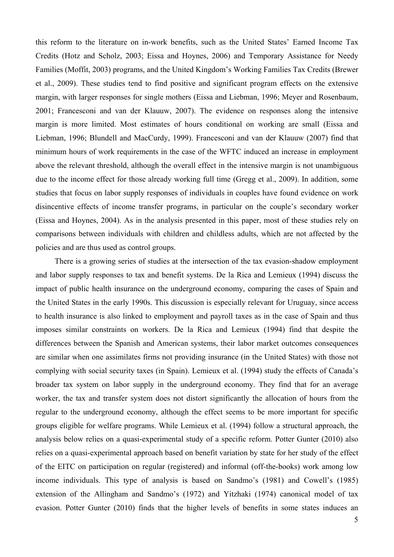this reform to the literature on in-work benefits, such as the United States' Earned Income Tax Credits (Hotz and Scholz, 2003; Eissa and Hoynes, 2006) and Temporary Assistance for Needy Families (Moffit, 2003) programs, and the United Kingdom's Working Families Tax Credits (Brewer et al., 2009). These studies tend to find positive and significant program effects on the extensive margin, with larger responses for single mothers (Eissa and Liebman, 1996; Meyer and Rosenbaum, 2001; Francesconi and van der Klauuw, 2007). The evidence on responses along the intensive margin is more limited. Most estimates of hours conditional on working are small (Eissa and Liebman, 1996; Blundell and MacCurdy, 1999). Francesconi and van der Klauuw (2007) find that minimum hours of work requirements in the case of the WFTC induced an increase in employment above the relevant threshold, although the overall effect in the intensive margin is not unambiguous due to the income effect for those already working full time (Gregg et al., 2009). In addition, some studies that focus on labor supply responses of individuals in couples have found evidence on work disincentive effects of income transfer programs, in particular on the couple's secondary worker (Eissa and Hoynes, 2004). As in the analysis presented in this paper, most of these studies rely on comparisons between individuals with children and childless adults, which are not affected by the policies and are thus used as control groups.

There is a growing series of studies at the intersection of the tax evasion-shadow employment and labor supply responses to tax and benefit systems. De la Rica and Lemieux (1994) discuss the impact of public health insurance on the underground economy, comparing the cases of Spain and the United States in the early 1990s. This discussion is especially relevant for Uruguay, since access to health insurance is also linked to employment and payroll taxes as in the case of Spain and thus imposes similar constraints on workers. De la Rica and Lemieux (1994) find that despite the differences between the Spanish and American systems, their labor market outcomes consequences are similar when one assimilates firms not providing insurance (in the United States) with those not complying with social security taxes (in Spain). Lemieux et al. (1994) study the effects of Canada's broader tax system on labor supply in the underground economy. They find that for an average worker, the tax and transfer system does not distort significantly the allocation of hours from the regular to the underground economy, although the effect seems to be more important for specific groups eligible for welfare programs. While Lemieux et al. (1994) follow a structural approach, the analysis below relies on a quasi-experimental study of a specific reform. Potter Gunter (2010) also relies on a quasi-experimental approach based on benefit variation by state for her study of the effect of the EITC on participation on regular (registered) and informal (off-the-books) work among low income individuals. This type of analysis is based on Sandmo's (1981) and Cowell's (1985) extension of the Allingham and Sandmo's (1972) and Yitzhaki (1974) canonical model of tax evasion. Potter Gunter (2010) finds that the higher levels of benefits in some states induces an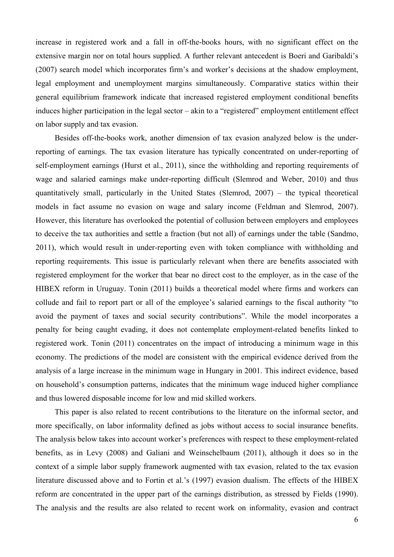increase in registered work and a fall in off-the-books hours, with no significant effect on the extensive margin nor on total hours supplied. A further relevant antecedent is Boeri and Garibaldi's (2007) search model which incorporates firm's and worker's decisions at the shadow employment, legal employment and unemployment margins simultaneously. Comparative statics within their general equilibrium framework indicate that increased registered employment conditional benefits induces higher participation in the legal sector – akin to a "registered" employment entitlement effect on labor supply and tax evasion.

Besides off-the-books work, another dimension of tax evasion analyzed below is the underreporting of earnings. The tax evasion literature has typically concentrated on under-reporting of self-employment earnings (Hurst et al., 2011), since the withholding and reporting requirements of wage and salaried earnings make under-reporting difficult (Slemrod and Weber, 2010) and thus quantitatively small, particularly in the United States (Slemrod, 2007) – the typical theoretical models in fact assume no evasion on wage and salary income (Feldman and Slemrod, 2007). However, this literature has overlooked the potential of collusion between employers and employees to deceive the tax authorities and settle a fraction (but not all) of earnings under the table (Sandmo, 2011), which would result in under-reporting even with token compliance with withholding and reporting requirements. This issue is particularly relevant when there are benefits associated with registered employment for the worker that bear no direct cost to the employer, as in the case of the HIBEX reform in Uruguay. Tonin (2011) builds a theoretical model where firms and workers can collude and fail to report part or all of the employee's salaried earnings to the fiscal authority "to avoid the payment of taxes and social security contributions". While the model incorporates a penalty for being caught evading, it does not contemplate employment-related benefits linked to registered work. Tonin (2011) concentrates on the impact of introducing a minimum wage in this economy. The predictions of the model are consistent with the empirical evidence derived from the analysis of a large increase in the minimum wage in Hungary in 2001. This indirect evidence, based on household's consumption patterns, indicates that the minimum wage induced higher compliance and thus lowered disposable income for low and mid skilled workers.

This paper is also related to recent contributions to the literature on the informal sector, and more specifically, on labor informality defined as jobs without access to social insurance benefits. The analysis below takes into account worker's preferences with respect to these employment-related benefits, as in Levy (2008) and Galiani and Weinschelbaum (2011), although it does so in the context of a simple labor supply framework augmented with tax evasion, related to the tax evasion literature discussed above and to Fortin et al.'s (1997) evasion dualism. The effects of the HIBEX reform are concentrated in the upper part of the earnings distribution, as stressed by Fields (1990). The analysis and the results are also related to recent work on informality, evasion and contract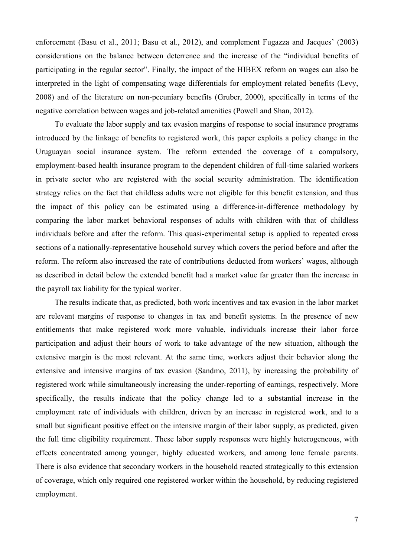enforcement (Basu et al., 2011; Basu et al., 2012), and complement Fugazza and Jacques' (2003) considerations on the balance between deterrence and the increase of the "individual benefits of participating in the regular sector". Finally, the impact of the HIBEX reform on wages can also be interpreted in the light of compensating wage differentials for employment related benefits (Levy, 2008) and of the literature on non-pecuniary benefits (Gruber, 2000), specifically in terms of the negative correlation between wages and job-related amenities (Powell and Shan, 2012).

To evaluate the labor supply and tax evasion margins of response to social insurance programs introduced by the linkage of benefits to registered work, this paper exploits a policy change in the Uruguayan social insurance system. The reform extended the coverage of a compulsory, employment-based health insurance program to the dependent children of full-time salaried workers in private sector who are registered with the social security administration. The identification strategy relies on the fact that childless adults were not eligible for this benefit extension, and thus the impact of this policy can be estimated using a difference-in-difference methodology by comparing the labor market behavioral responses of adults with children with that of childless individuals before and after the reform. This quasi-experimental setup is applied to repeated cross sections of a nationally-representative household survey which covers the period before and after the reform. The reform also increased the rate of contributions deducted from workers' wages, although as described in detail below the extended benefit had a market value far greater than the increase in the payroll tax liability for the typical worker.

The results indicate that, as predicted, both work incentives and tax evasion in the labor market are relevant margins of response to changes in tax and benefit systems. In the presence of new entitlements that make registered work more valuable, individuals increase their labor force participation and adjust their hours of work to take advantage of the new situation, although the extensive margin is the most relevant. At the same time, workers adjust their behavior along the extensive and intensive margins of tax evasion (Sandmo, 2011), by increasing the probability of registered work while simultaneously increasing the under-reporting of earnings, respectively. More specifically, the results indicate that the policy change led to a substantial increase in the employment rate of individuals with children, driven by an increase in registered work, and to a small but significant positive effect on the intensive margin of their labor supply, as predicted, given the full time eligibility requirement. These labor supply responses were highly heterogeneous, with effects concentrated among younger, highly educated workers, and among lone female parents. There is also evidence that secondary workers in the household reacted strategically to this extension of coverage, which only required one registered worker within the household, by reducing registered employment.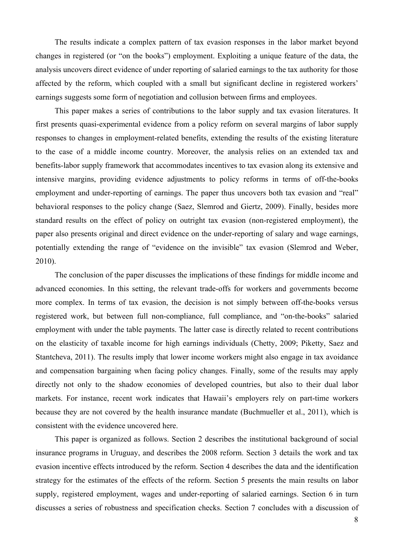The results indicate a complex pattern of tax evasion responses in the labor market beyond changes in registered (or "on the books") employment. Exploiting a unique feature of the data, the analysis uncovers direct evidence of under reporting of salaried earnings to the tax authority for those affected by the reform, which coupled with a small but significant decline in registered workers' earnings suggests some form of negotiation and collusion between firms and employees.

This paper makes a series of contributions to the labor supply and tax evasion literatures. It first presents quasi-experimental evidence from a policy reform on several margins of labor supply responses to changes in employment-related benefits, extending the results of the existing literature to the case of a middle income country. Moreover, the analysis relies on an extended tax and benefits-labor supply framework that accommodates incentives to tax evasion along its extensive and intensive margins, providing evidence adjustments to policy reforms in terms of off-the-books employment and under-reporting of earnings. The paper thus uncovers both tax evasion and "real" behavioral responses to the policy change (Saez, Slemrod and Giertz, 2009). Finally, besides more standard results on the effect of policy on outright tax evasion (non-registered employment), the paper also presents original and direct evidence on the under-reporting of salary and wage earnings, potentially extending the range of "evidence on the invisible" tax evasion (Slemrod and Weber, 2010).

The conclusion of the paper discusses the implications of these findings for middle income and advanced economies. In this setting, the relevant trade-offs for workers and governments become more complex. In terms of tax evasion, the decision is not simply between off-the-books versus registered work, but between full non-compliance, full compliance, and "on-the-books" salaried employment with under the table payments. The latter case is directly related to recent contributions on the elasticity of taxable income for high earnings individuals (Chetty, 2009; Piketty, Saez and Stantcheva, 2011). The results imply that lower income workers might also engage in tax avoidance and compensation bargaining when facing policy changes. Finally, some of the results may apply directly not only to the shadow economies of developed countries, but also to their dual labor markets. For instance, recent work indicates that Hawaii's employers rely on part-time workers because they are not covered by the health insurance mandate (Buchmueller et al., 2011), which is consistent with the evidence uncovered here.

This paper is organized as follows. Section 2 describes the institutional background of social insurance programs in Uruguay, and describes the 2008 reform. Section 3 details the work and tax evasion incentive effects introduced by the reform. Section 4 describes the data and the identification strategy for the estimates of the effects of the reform. Section 5 presents the main results on labor supply, registered employment, wages and under-reporting of salaried earnings. Section 6 in turn discusses a series of robustness and specification checks. Section 7 concludes with a discussion of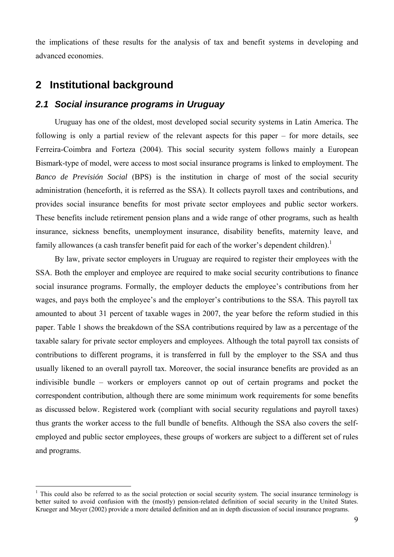the implications of these results for the analysis of tax and benefit systems in developing and advanced economies.

## **2 Institutional background**

 $\overline{a}$ 

#### *2.1 Social insurance programs in Uruguay*

Uruguay has one of the oldest, most developed social security systems in Latin America. The following is only a partial review of the relevant aspects for this paper – for more details, see Ferreira-Coimbra and Forteza (2004). This social security system follows mainly a European Bismark-type of model, were access to most social insurance programs is linked to employment. The *Banco de Previsión Social* (BPS) is the institution in charge of most of the social security administration (henceforth, it is referred as the SSA). It collects payroll taxes and contributions, and provides social insurance benefits for most private sector employees and public sector workers. These benefits include retirement pension plans and a wide range of other programs, such as health insurance, sickness benefits, unemployment insurance, disability benefits, maternity leave, and family allowances (a cash transfer benefit paid for each of the worker's dependent children).<sup>1</sup>

By law, private sector employers in Uruguay are required to register their employees with the SSA. Both the employer and employee are required to make social security contributions to finance social insurance programs. Formally, the employer deducts the employee's contributions from her wages, and pays both the employee's and the employer's contributions to the SSA. This payroll tax amounted to about 31 percent of taxable wages in 2007, the year before the reform studied in this paper. Table 1 shows the breakdown of the SSA contributions required by law as a percentage of the taxable salary for private sector employers and employees. Although the total payroll tax consists of contributions to different programs, it is transferred in full by the employer to the SSA and thus usually likened to an overall payroll tax. Moreover, the social insurance benefits are provided as an indivisible bundle – workers or employers cannot op out of certain programs and pocket the correspondent contribution, although there are some minimum work requirements for some benefits as discussed below. Registered work (compliant with social security regulations and payroll taxes) thus grants the worker access to the full bundle of benefits. Although the SSA also covers the selfemployed and public sector employees, these groups of workers are subject to a different set of rules and programs.

<sup>&</sup>lt;sup>1</sup> This could also be referred to as the social protection or social security system. The social insurance terminology is better suited to avoid confusion with the (mostly) pension-related definition of social security in the United States. Krueger and Meyer (2002) provide a more detailed definition and an in depth discussion of social insurance programs.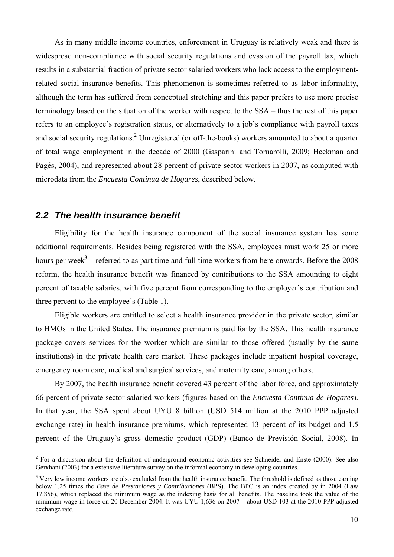As in many middle income countries, enforcement in Uruguay is relatively weak and there is widespread non-compliance with social security regulations and evasion of the payroll tax, which results in a substantial fraction of private sector salaried workers who lack access to the employmentrelated social insurance benefits. This phenomenon is sometimes referred to as labor informality, although the term has suffered from conceptual stretching and this paper prefers to use more precise terminology based on the situation of the worker with respect to the SSA – thus the rest of this paper refers to an employee's registration status, or alternatively to a job's compliance with payroll taxes and social security regulations.<sup>2</sup> Unregistered (or off-the-books) workers amounted to about a quarter of total wage employment in the decade of 2000 (Gasparini and Tornarolli, 2009; Heckman and Pagés, 2004), and represented about 28 percent of private-sector workers in 2007, as computed with microdata from the *Encuesta Continua de Hogares*, described below.

#### *2.2 The health insurance benefit*

 $\overline{a}$ 

Eligibility for the health insurance component of the social insurance system has some additional requirements. Besides being registered with the SSA, employees must work 25 or more hours per week<sup>3</sup> – referred to as part time and full time workers from here onwards. Before the 2008 reform, the health insurance benefit was financed by contributions to the SSA amounting to eight percent of taxable salaries, with five percent from corresponding to the employer's contribution and three percent to the employee's (Table 1).

Eligible workers are entitled to select a health insurance provider in the private sector, similar to HMOs in the United States. The insurance premium is paid for by the SSA. This health insurance package covers services for the worker which are similar to those offered (usually by the same institutions) in the private health care market. These packages include inpatient hospital coverage, emergency room care, medical and surgical services, and maternity care, among others.

By 2007, the health insurance benefit covered 43 percent of the labor force, and approximately 66 percent of private sector salaried workers (figures based on the *Encuesta Continua de Hogares*). In that year, the SSA spent about UYU 8 billion (USD 514 million at the 2010 PPP adjusted exchange rate) in health insurance premiums, which represented 13 percent of its budget and 1.5 percent of the Uruguay's gross domestic product (GDP) (Banco de Previsión Social, 2008). In

 $2^2$  For a discussion about the definition of underground economic activities see Schneider and Enste (2000). See also Gerxhani (2003) for a extensive literature survey on the informal economy in developing countries.

<sup>&</sup>lt;sup>3</sup> Very low income workers are also excluded from the health insurance benefit. The threshold is defined as those earning below 1.25 times the *Base de Prestaciones y Contribuciones* (BPS). The BPC is an index created by in 2004 (Law 17,856), which replaced the minimum wage as the indexing basis for all benefits. The baseline took the value of the minimum wage in force on 20 December 2004. It was UYU 1,636 on 2007 – about USD 103 at the 2010 PPP adjusted exchange rate.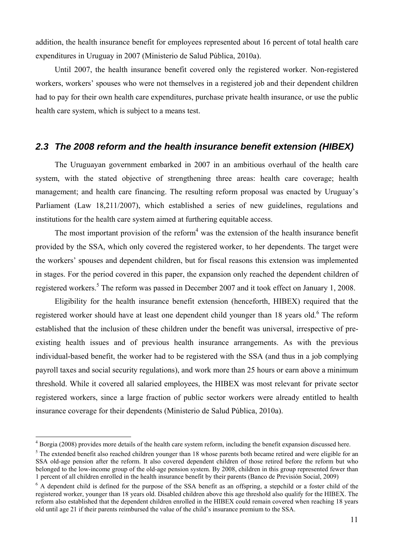addition, the health insurance benefit for employees represented about 16 percent of total health care expenditures in Uruguay in 2007 (Ministerio de Salud Pública, 2010a).

Until 2007, the health insurance benefit covered only the registered worker. Non-registered workers, workers' spouses who were not themselves in a registered job and their dependent children had to pay for their own health care expenditures, purchase private health insurance, or use the public health care system, which is subject to a means test.

#### *2.3 The 2008 reform and the health insurance benefit extension (HIBEX)*

The Uruguayan government embarked in 2007 in an ambitious overhaul of the health care system, with the stated objective of strengthening three areas: health care coverage; health management; and health care financing. The resulting reform proposal was enacted by Uruguay's Parliament (Law 18,211/2007), which established a series of new guidelines, regulations and institutions for the health care system aimed at furthering equitable access.

The most important provision of the reform<sup>4</sup> was the extension of the health insurance benefit provided by the SSA, which only covered the registered worker, to her dependents. The target were the workers' spouses and dependent children, but for fiscal reasons this extension was implemented in stages. For the period covered in this paper, the expansion only reached the dependent children of registered workers.<sup>5</sup> The reform was passed in December 2007 and it took effect on January 1, 2008.

Eligibility for the health insurance benefit extension (henceforth, HIBEX) required that the registered worker should have at least one dependent child younger than 18 years old.<sup>6</sup> The reform established that the inclusion of these children under the benefit was universal, irrespective of preexisting health issues and of previous health insurance arrangements. As with the previous individual-based benefit, the worker had to be registered with the SSA (and thus in a job complying payroll taxes and social security regulations), and work more than 25 hours or earn above a minimum threshold. While it covered all salaried employees, the HIBEX was most relevant for private sector registered workers, since a large fraction of public sector workers were already entitled to health insurance coverage for their dependents (Ministerio de Salud Pública, 2010a).

 $4$  Borgia (2008) provides more details of the health care system reform, including the benefit expansion discussed here.

 $<sup>5</sup>$  The extended benefit also reached children younger than 18 whose parents both became retired and were eligible for an</sup> SSA old-age pension after the reform. It also covered dependent children of those retired before the reform but who belonged to the low-income group of the old-age pension system. By 2008, children in this group represented fewer than 1 percent of all children enrolled in the health insurance benefit by their parents (Banco de Previsión Social, 2009)

<sup>&</sup>lt;sup>6</sup> A dependent child is defined for the purpose of the SSA benefit as an offspring, a stepchild or a foster child of the registered worker, younger than 18 years old. Disabled children above this age threshold also qualify for the HIBEX. The reform also established that the dependent children enrolled in the HIBEX could remain covered when reaching 18 years old until age 21 if their parents reimbursed the value of the child's insurance premium to the SSA.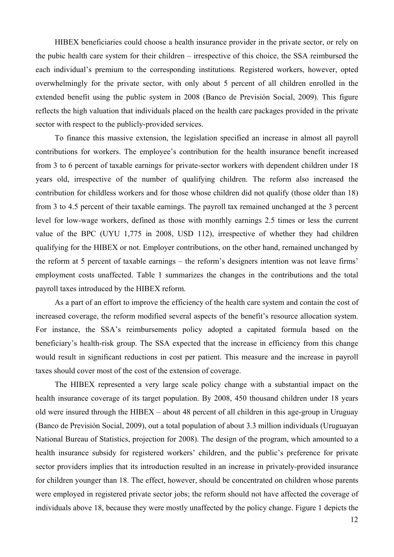HIBEX beneficiaries could choose a health insurance provider in the private sector, or rely on the pubic health care system for their children – irrespective of this choice, the SSA reimbursed the each individual's premium to the corresponding institutions. Registered workers, however, opted overwhelmingly for the private sector, with only about 5 percent of all children enrolled in the extended benefit using the public system in 2008 (Banco de Previsión Social, 2009). This figure reflects the high valuation that individuals placed on the health care packages provided in the private sector with respect to the publicly-provided services.

To finance this massive extension, the legislation specified an increase in almost all payroll contributions for workers. The employee's contribution for the health insurance benefit increased from 3 to 6 percent of taxable earnings for private-sector workers with dependent children under 18 years old, irrespective of the number of qualifying children. The reform also increased the contribution for childless workers and for those whose children did not qualify (those older than 18) from 3 to 4.5 percent of their taxable earnings. The payroll tax remained unchanged at the 3 percent level for low-wage workers, defined as those with monthly earnings 2.5 times or less the current value of the BPC (UYU 1,775 in 2008, USD 112), irrespective of whether they had children qualifying for the HIBEX or not. Employer contributions, on the other hand, remained unchanged by the reform at 5 percent of taxable earnings – the reform's designers intention was not leave firms' employment costs unaffected. Table 1 summarizes the changes in the contributions and the total payroll taxes introduced by the HIBEX reform.

As a part of an effort to improve the efficiency of the health care system and contain the cost of increased coverage, the reform modified several aspects of the benefit's resource allocation system. For instance, the SSA's reimbursements policy adopted a capitated formula based on the beneficiary's health-risk group. The SSA expected that the increase in efficiency from this change would result in significant reductions in cost per patient. This measure and the increase in payroll taxes should cover most of the cost of the extension of coverage.

The HIBEX represented a very large scale policy change with a substantial impact on the health insurance coverage of its target population. By 2008, 450 thousand children under 18 years old were insured through the HIBEX – about 48 percent of all children in this age-group in Uruguay (Banco de Previsión Social, 2009), out a total population of about 3.3 million individuals (Uruguayan National Bureau of Statistics, projection for 2008). The design of the program, which amounted to a health insurance subsidy for registered workers' children, and the public's preference for private sector providers implies that its introduction resulted in an increase in privately-provided insurance for children younger than 18. The effect, however, should be concentrated on children whose parents were employed in registered private sector jobs; the reform should not have affected the coverage of individuals above 18, because they were mostly unaffected by the policy change. Figure 1 depicts the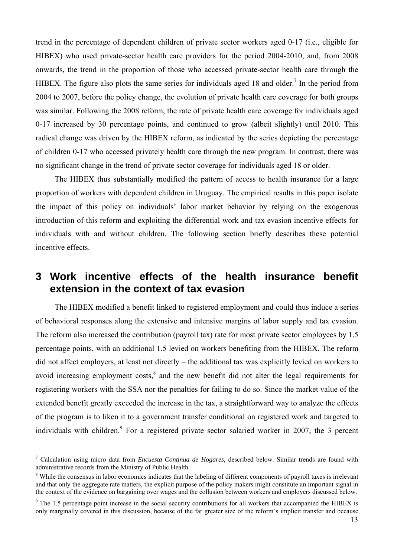trend in the percentage of dependent children of private sector workers aged 0-17 (i.e., eligible for HIBEX) who used private-sector health care providers for the period 2004-2010, and, from 2008 onwards, the trend in the proportion of those who accessed private-sector health care through the HIBEX. The figure also plots the same series for individuals aged 18 and older.<sup>7</sup> In the period from 2004 to 2007, before the policy change, the evolution of private health care coverage for both groups was similar. Following the 2008 reform, the rate of private health care coverage for individuals aged 0-17 increased by 30 percentage points, and continued to grow (albeit slightly) until 2010. This radical change was driven by the HIBEX reform, as indicated by the series depicting the percentage of children 0-17 who accessed privately health care through the new program. In contrast, there was no significant change in the trend of private sector coverage for individuals aged 18 or older.

The HIBEX thus substantially modified the pattern of access to health insurance for a large proportion of workers with dependent children in Uruguay. The empirical results in this paper isolate the impact of this policy on individuals' labor market behavior by relying on the exogenous introduction of this reform and exploiting the differential work and tax evasion incentive effects for individuals with and without children. The following section briefly describes these potential incentive effects.

## **3 Work incentive effects of the health insurance benefit extension in the context of tax evasion**

The HIBEX modified a benefit linked to registered employment and could thus induce a series of behavioral responses along the extensive and intensive margins of labor supply and tax evasion. The reform also increased the contribution (payroll tax) rate for most private sector employees by 1.5 percentage points, with an additional 1.5 levied on workers benefiting from the HIBEX. The reform did not affect employers, at least not directly – the additional tax was explicitly levied on workers to avoid increasing employment costs, ${}^{8}$  and the new benefit did not alter the legal requirements for registering workers with the SSA nor the penalties for failing to do so. Since the market value of the extended benefit greatly exceeded the increase in the tax, a straightforward way to analyze the effects of the program is to liken it to a government transfer conditional on registered work and targeted to individuals with children.<sup>9</sup> For a registered private sector salaried worker in 2007, the 3 percent

<sup>7</sup> Calculation using micro data from *Encuesta Continua de Hogares*, described below. Similar trends are found with administrative records from the Ministry of Public Health. 8

<sup>&</sup>lt;sup>8</sup> While the consensus in labor economics indicates that the labeling of different components of payroll taxes is irrelevant and that only the aggregate rate matters, the explicit purpose of the policy makers might constitute an important signal in the context of the evidence on bargaining over wages and the collusion between workers and employers discussed below.

<sup>&</sup>lt;sup>9</sup> The 1.5 percentage point increase in the social security contributions for all workers that accompanied the HIBEX is only marginally covered in this discussion, because of the far greater size of the reform's implicit transfer and because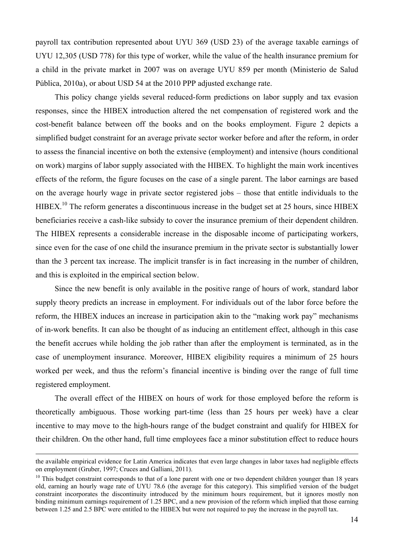payroll tax contribution represented about UYU 369 (USD 23) of the average taxable earnings of UYU 12,305 (USD 778) for this type of worker, while the value of the health insurance premium for a child in the private market in 2007 was on average UYU 859 per month (Ministerio de Salud Pública, 2010a), or about USD 54 at the 2010 PPP adjusted exchange rate.

This policy change yields several reduced-form predictions on labor supply and tax evasion responses, since the HIBEX introduction altered the net compensation of registered work and the cost-benefit balance between off the books and on the books employment. Figure 2 depicts a simplified budget constraint for an average private sector worker before and after the reform, in order to assess the financial incentive on both the extensive (employment) and intensive (hours conditional on work) margins of labor supply associated with the HIBEX. To highlight the main work incentives effects of the reform, the figure focuses on the case of a single parent. The labor earnings are based on the average hourly wage in private sector registered jobs – those that entitle individuals to the HIBEX.<sup>10</sup> The reform generates a discontinuous increase in the budget set at 25 hours, since HIBEX beneficiaries receive a cash-like subsidy to cover the insurance premium of their dependent children. The HIBEX represents a considerable increase in the disposable income of participating workers, since even for the case of one child the insurance premium in the private sector is substantially lower than the 3 percent tax increase. The implicit transfer is in fact increasing in the number of children, and this is exploited in the empirical section below.

Since the new benefit is only available in the positive range of hours of work, standard labor supply theory predicts an increase in employment. For individuals out of the labor force before the reform, the HIBEX induces an increase in participation akin to the "making work pay" mechanisms of in-work benefits. It can also be thought of as inducing an entitlement effect, although in this case the benefit accrues while holding the job rather than after the employment is terminated, as in the case of unemployment insurance. Moreover, HIBEX eligibility requires a minimum of 25 hours worked per week, and thus the reform's financial incentive is binding over the range of full time registered employment.

The overall effect of the HIBEX on hours of work for those employed before the reform is theoretically ambiguous. Those working part-time (less than 25 hours per week) have a clear incentive to may move to the high-hours range of the budget constraint and qualify for HIBEX for their children. On the other hand, full time employees face a minor substitution effect to reduce hours

the available empirical evidence for Latin America indicates that even large changes in labor taxes had negligible effects on employment (Gruber, 1997; Cruces and Galliani, 2011).

<sup>&</sup>lt;sup>10</sup> This budget constraint corresponds to that of a lone parent with one or two dependent children younger than 18 years old, earning an hourly wage rate of UYU 78.6 (the average for this category). This simplified version of the budget constraint incorporates the discontinuity introduced by the minimum hours requirement, but it ignores mostly non binding minimum earnings requirement of 1.25 BPC, and a new provision of the reform which implied that those earning between 1.25 and 2.5 BPC were entitled to the HIBEX but were not required to pay the increase in the payroll tax.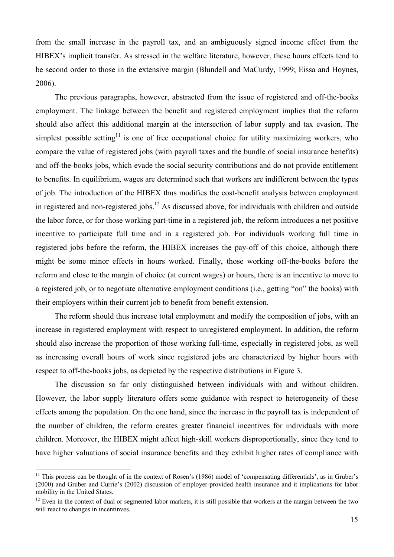from the small increase in the payroll tax, and an ambiguously signed income effect from the HIBEX's implicit transfer. As stressed in the welfare literature, however, these hours effects tend to be second order to those in the extensive margin (Blundell and MaCurdy, 1999; Eissa and Hoynes, 2006).

The previous paragraphs, however, abstracted from the issue of registered and off-the-books employment. The linkage between the benefit and registered employment implies that the reform should also affect this additional margin at the intersection of labor supply and tax evasion. The simplest possible setting<sup>11</sup> is one of free occupational choice for utility maximizing workers, who compare the value of registered jobs (with payroll taxes and the bundle of social insurance benefits) and off-the-books jobs, which evade the social security contributions and do not provide entitlement to benefits. In equilibrium, wages are determined such that workers are indifferent between the types of job. The introduction of the HIBEX thus modifies the cost-benefit analysis between employment in registered and non-registered jobs.<sup>12</sup> As discussed above, for individuals with children and outside the labor force, or for those working part-time in a registered job, the reform introduces a net positive incentive to participate full time and in a registered job. For individuals working full time in registered jobs before the reform, the HIBEX increases the pay-off of this choice, although there might be some minor effects in hours worked. Finally, those working off-the-books before the reform and close to the margin of choice (at current wages) or hours, there is an incentive to move to a registered job, or to negotiate alternative employment conditions (i.e., getting "on" the books) with their employers within their current job to benefit from benefit extension.

The reform should thus increase total employment and modify the composition of jobs, with an increase in registered employment with respect to unregistered employment. In addition, the reform should also increase the proportion of those working full-time, especially in registered jobs, as well as increasing overall hours of work since registered jobs are characterized by higher hours with respect to off-the-books jobs, as depicted by the respective distributions in Figure 3.

The discussion so far only distinguished between individuals with and without children. However, the labor supply literature offers some guidance with respect to heterogeneity of these effects among the population. On the one hand, since the increase in the payroll tax is independent of the number of children, the reform creates greater financial incentives for individuals with more children. Moreover, the HIBEX might affect high-skill workers disproportionally, since they tend to have higher valuations of social insurance benefits and they exhibit higher rates of compliance with

 $11$  This process can be thought of in the context of Rosen's (1986) model of 'compensating differentials', as in Gruber's (2000) and Gruber and Currie's (2002) discussion of employer-provided health insurance and it implications for labor mobility in the United States.

 $12$  Even in the context of dual or segmented labor markets, it is still possible that workers at the margin between the two will react to changes in incentinves.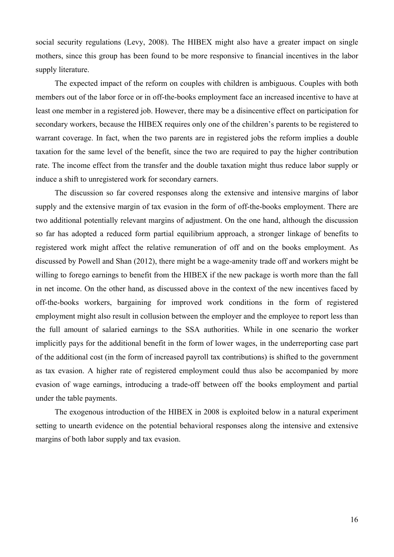social security regulations (Levy, 2008). The HIBEX might also have a greater impact on single mothers, since this group has been found to be more responsive to financial incentives in the labor supply literature.

The expected impact of the reform on couples with children is ambiguous. Couples with both members out of the labor force or in off-the-books employment face an increased incentive to have at least one member in a registered job. However, there may be a disincentive effect on participation for secondary workers, because the HIBEX requires only one of the children's parents to be registered to warrant coverage. In fact, when the two parents are in registered jobs the reform implies a double taxation for the same level of the benefit, since the two are required to pay the higher contribution rate. The income effect from the transfer and the double taxation might thus reduce labor supply or induce a shift to unregistered work for secondary earners.

The discussion so far covered responses along the extensive and intensive margins of labor supply and the extensive margin of tax evasion in the form of off-the-books employment. There are two additional potentially relevant margins of adjustment. On the one hand, although the discussion so far has adopted a reduced form partial equilibrium approach, a stronger linkage of benefits to registered work might affect the relative remuneration of off and on the books employment. As discussed by Powell and Shan (2012), there might be a wage-amenity trade off and workers might be willing to forego earnings to benefit from the HIBEX if the new package is worth more than the fall in net income. On the other hand, as discussed above in the context of the new incentives faced by off-the-books workers, bargaining for improved work conditions in the form of registered employment might also result in collusion between the employer and the employee to report less than the full amount of salaried earnings to the SSA authorities. While in one scenario the worker implicitly pays for the additional benefit in the form of lower wages, in the underreporting case part of the additional cost (in the form of increased payroll tax contributions) is shifted to the government as tax evasion. A higher rate of registered employment could thus also be accompanied by more evasion of wage earnings, introducing a trade-off between off the books employment and partial under the table payments.

The exogenous introduction of the HIBEX in 2008 is exploited below in a natural experiment setting to unearth evidence on the potential behavioral responses along the intensive and extensive margins of both labor supply and tax evasion.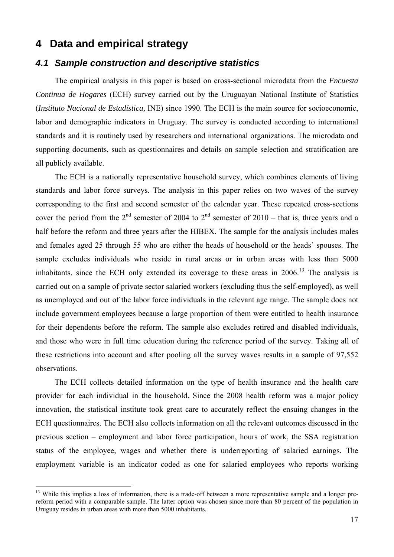## **4 Data and empirical strategy**

 $\overline{a}$ 

## *4.1 Sample construction and descriptive statistics*

The empirical analysis in this paper is based on cross-sectional microdata from the *Encuesta Continua de Hogares* (ECH) survey carried out by the Uruguayan National Institute of Statistics (*Instituto Nacional de Estadística,* INE) since 1990. The ECH is the main source for socioeconomic, labor and demographic indicators in Uruguay. The survey is conducted according to international standards and it is routinely used by researchers and international organizations. The microdata and supporting documents, such as questionnaires and details on sample selection and stratification are all publicly available.

The ECH is a nationally representative household survey, which combines elements of living standards and labor force surveys. The analysis in this paper relies on two waves of the survey corresponding to the first and second semester of the calendar year. These repeated cross-sections cover the period from the  $2<sup>nd</sup>$  semester of 2004 to  $2<sup>nd</sup>$  semester of 2010 – that is, three years and a half before the reform and three years after the HIBEX. The sample for the analysis includes males and females aged 25 through 55 who are either the heads of household or the heads' spouses. The sample excludes individuals who reside in rural areas or in urban areas with less than 5000 inhabitants, since the ECH only extended its coverage to these areas in 2006.<sup>13</sup> The analysis is carried out on a sample of private sector salaried workers (excluding thus the self-employed), as well as unemployed and out of the labor force individuals in the relevant age range. The sample does not include government employees because a large proportion of them were entitled to health insurance for their dependents before the reform. The sample also excludes retired and disabled individuals, and those who were in full time education during the reference period of the survey. Taking all of these restrictions into account and after pooling all the survey waves results in a sample of 97,552 observations.

The ECH collects detailed information on the type of health insurance and the health care provider for each individual in the household. Since the 2008 health reform was a major policy innovation, the statistical institute took great care to accurately reflect the ensuing changes in the ECH questionnaires. The ECH also collects information on all the relevant outcomes discussed in the previous section – employment and labor force participation, hours of work, the SSA registration status of the employee, wages and whether there is underreporting of salaried earnings. The employment variable is an indicator coded as one for salaried employees who reports working

<sup>&</sup>lt;sup>13</sup> While this implies a loss of information, there is a trade-off between a more representative sample and a longer prereform period with a comparable sample. The latter option was chosen since more than 80 percent of the population in Uruguay resides in urban areas with more than 5000 inhabitants.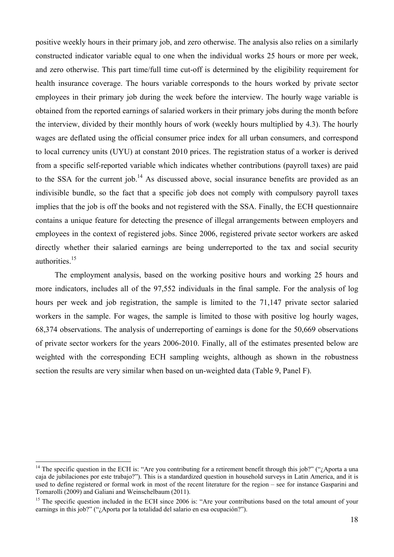positive weekly hours in their primary job, and zero otherwise. The analysis also relies on a similarly constructed indicator variable equal to one when the individual works 25 hours or more per week, and zero otherwise. This part time/full time cut-off is determined by the eligibility requirement for health insurance coverage. The hours variable corresponds to the hours worked by private sector employees in their primary job during the week before the interview. The hourly wage variable is obtained from the reported earnings of salaried workers in their primary jobs during the month before the interview, divided by their monthly hours of work (weekly hours multiplied by 4.3). The hourly wages are deflated using the official consumer price index for all urban consumers, and correspond to local currency units (UYU) at constant 2010 prices. The registration status of a worker is derived from a specific self-reported variable which indicates whether contributions (payroll taxes) are paid to the SSA for the current job.<sup>14</sup> As discussed above, social insurance benefits are provided as an indivisible bundle, so the fact that a specific job does not comply with compulsory payroll taxes implies that the job is off the books and not registered with the SSA. Finally, the ECH questionnaire contains a unique feature for detecting the presence of illegal arrangements between employers and employees in the context of registered jobs. Since 2006, registered private sector workers are asked directly whether their salaried earnings are being underreported to the tax and social security authorities.15

The employment analysis, based on the working positive hours and working 25 hours and more indicators, includes all of the 97,552 individuals in the final sample. For the analysis of log hours per week and job registration, the sample is limited to the 71,147 private sector salaried workers in the sample. For wages, the sample is limited to those with positive log hourly wages, 68,374 observations. The analysis of underreporting of earnings is done for the 50,669 observations of private sector workers for the years 2006-2010. Finally, all of the estimates presented below are weighted with the corresponding ECH sampling weights, although as shown in the robustness section the results are very similar when based on un-weighted data (Table 9, Panel F).

<sup>&</sup>lt;sup>14</sup> The specific question in the ECH is: "Are you contributing for a retirement benefit through this job?" ("*i*,Aporta a una caja de jubilaciones por este trabajo?"). This is a standardized question in household surveys in Latin America, and it is used to define registered or formal work in most of the recent literature for the region – see for instance Gasparini and Tornarolli (2009) and Galiani and Weinschelbaum (2011).

<sup>&</sup>lt;sup>15</sup> The specific question included in the ECH since 2006 is: "Are your contributions based on the total amount of your earnings in this job?" ("¿Aporta por la totalidad del salario en esa ocupación?").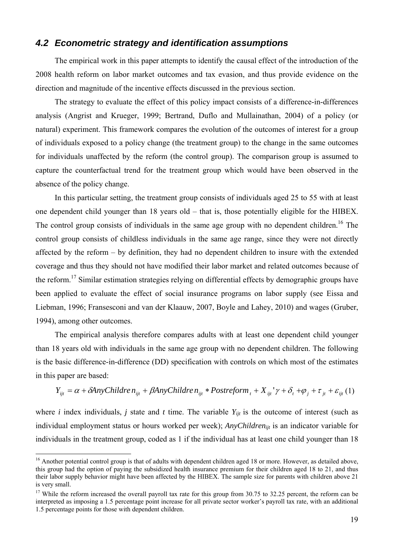#### *4.2 Econometric strategy and identification assumptions*

The empirical work in this paper attempts to identify the causal effect of the introduction of the 2008 health reform on labor market outcomes and tax evasion, and thus provide evidence on the direction and magnitude of the incentive effects discussed in the previous section.

The strategy to evaluate the effect of this policy impact consists of a difference-in-differences analysis (Angrist and Krueger, 1999; Bertrand, Duflo and Mullainathan, 2004) of a policy (or natural) experiment. This framework compares the evolution of the outcomes of interest for a group of individuals exposed to a policy change (the treatment group) to the change in the same outcomes for individuals unaffected by the reform (the control group). The comparison group is assumed to capture the counterfactual trend for the treatment group which would have been observed in the absence of the policy change.

In this particular setting, the treatment group consists of individuals aged 25 to 55 with at least one dependent child younger than 18 years old – that is, those potentially eligible for the HIBEX. The control group consists of individuals in the same age group with no dependent children.<sup>16</sup> The control group consists of childless individuals in the same age range, since they were not directly affected by the reform – by definition, they had no dependent children to insure with the extended coverage and thus they should not have modified their labor market and related outcomes because of the reform.<sup>17</sup> Similar estimation strategies relying on differential effects by demographic groups have been applied to evaluate the effect of social insurance programs on labor supply (see Eissa and Liebman, 1996; Fransesconi and van der Klaauw, 2007, Boyle and Lahey, 2010) and wages (Gruber, 1994), among other outcomes.

The empirical analysis therefore compares adults with at least one dependent child younger than 18 years old with individuals in the same age group with no dependent children. The following is the basic difference-in-difference (DD) specification with controls on which most of the estimates in this paper are based:

$$
Y_{ijt} = \alpha + \delta \text{AnyChildren}_{ijt} + \beta \text{AnyChildren}_{ijt} * Postreform_t + X_{ijt}' \gamma + \delta_t + \varphi_j + \tau_{jt} + \varepsilon_{ijt} (1)
$$

where *i* index individuals, *j* state and *t* time. The variable  $Y_{ijt}$  is the outcome of interest (such as individual employment status or hours worked per week); *AnyChildrenijt* is an indicator variable for individuals in the treatment group, coded as 1 if the individual has at least one child younger than 18

<sup>&</sup>lt;sup>16</sup> Another potential control group is that of adults with dependent children aged 18 or more. However, as detailed above, this group had the option of paying the subsidized health insurance premium for their children aged 18 to 21, and thus their labor supply behavior might have been affected by the HIBEX. The sample size for parents with children above 21 is very small.

 $17$  While the reform increased the overall payroll tax rate for this group from 30.75 to 32.25 percent, the reform can be interpreted as imposing a 1.5 percentage point increase for all private sector worker's payroll tax rate, with an additional 1.5 percentage points for those with dependent children.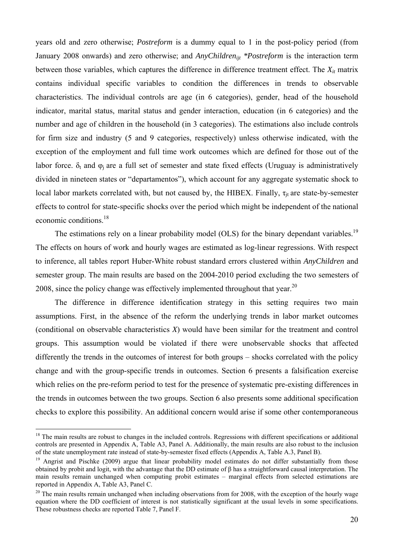years old and zero otherwise; *Postreform* is a dummy equal to 1 in the post-policy period (from January 2008 onwards) and zero otherwise; and *AnyChildrenijt \*Postreform* is the interaction term between those variables, which captures the difference in difference treatment effect. The  $X_{it}$  matrix contains individual specific variables to condition the differences in trends to observable characteristics. The individual controls are age (in 6 categories), gender, head of the household indicator, marital status, marital status and gender interaction, education (in 6 categories) and the number and age of children in the household (in 3 categories). The estimations also include controls for firm size and industry (5 and 9 categories, respectively) unless otherwise indicated, with the exception of the employment and full time work outcomes which are defined for those out of the labor force.  $\delta_t$  and  $\varphi_i$  are a full set of semester and state fixed effects (Uruguay is administratively divided in nineteen states or "departamentos"), which account for any aggregate systematic shock to local labor markets correlated with, but not caused by, the HIBEX. Finally,  $\tau_{it}$  are state-by-semester effects to control for state-specific shocks over the period which might be independent of the national economic conditions<sup>18</sup>

The estimations rely on a linear probability model (OLS) for the binary dependant variables.<sup>19</sup> The effects on hours of work and hourly wages are estimated as log-linear regressions. With respect to inference, all tables report Huber-White robust standard errors clustered within *AnyChildren* and semester group. The main results are based on the 2004-2010 period excluding the two semesters of 2008, since the policy change was effectively implemented throughout that year.<sup>20</sup>

The difference in difference identification strategy in this setting requires two main assumptions. First, in the absence of the reform the underlying trends in labor market outcomes (conditional on observable characteristics *X*) would have been similar for the treatment and control groups. This assumption would be violated if there were unobservable shocks that affected differently the trends in the outcomes of interest for both groups – shocks correlated with the policy change and with the group-specific trends in outcomes. Section 6 presents a falsification exercise which relies on the pre-reform period to test for the presence of systematic pre-existing differences in the trends in outcomes between the two groups. Section 6 also presents some additional specification checks to explore this possibility. An additional concern would arise if some other contemporaneous

 $18$  The main results are robust to changes in the included controls. Regressions with different specifications or additional controls are presented in Appendix A, Table A3, Panel A. Additionally, the main results are also robust to the inclusion of the state unemployment rate instead of state-by-semester fixed effects (Appendix A, Table A.3, Panel B).

<sup>&</sup>lt;sup>19</sup> Angrist and Pischke (2009) argue that linear probability model estimates do not differ substantially from those obtained by probit and logit, with the advantage that the DD estimate of β has a straightforward causal interpretation. The main results remain unchanged when computing probit estimates – marginal effects from selected estimations are reported in Appendix A, Table A3, Panel C.

 $20$  The main results remain unchanged when including observations from for 2008, with the exception of the hourly wage equation where the DD coefficient of interest is not statistically significant at the usual levels in some specifications. These robustness checks are reported Table 7, Panel F.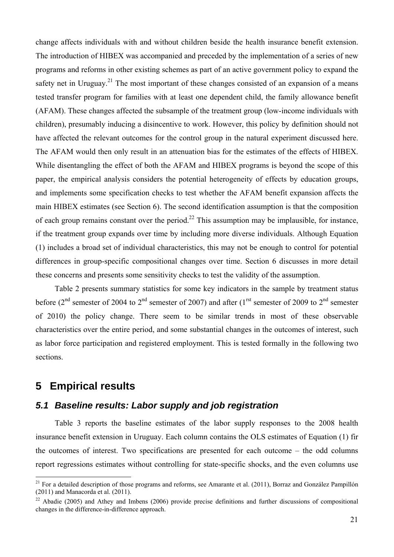change affects individuals with and without children beside the health insurance benefit extension. The introduction of HIBEX was accompanied and preceded by the implementation of a series of new programs and reforms in other existing schemes as part of an active government policy to expand the safety net in Uruguay.<sup>21</sup> The most important of these changes consisted of an expansion of a means tested transfer program for families with at least one dependent child, the family allowance benefit (AFAM). These changes affected the subsample of the treatment group (low-income individuals with children), presumably inducing a disincentive to work. However, this policy by definition should not have affected the relevant outcomes for the control group in the natural experiment discussed here. The AFAM would then only result in an attenuation bias for the estimates of the effects of HIBEX. While disentangling the effect of both the AFAM and HIBEX programs is beyond the scope of this paper, the empirical analysis considers the potential heterogeneity of effects by education groups, and implements some specification checks to test whether the AFAM benefit expansion affects the main HIBEX estimates (see Section 6). The second identification assumption is that the composition of each group remains constant over the period.<sup>22</sup> This assumption may be implausible, for instance, if the treatment group expands over time by including more diverse individuals. Although Equation (1) includes a broad set of individual characteristics, this may not be enough to control for potential differences in group-specific compositional changes over time. Section 6 discusses in more detail these concerns and presents some sensitivity checks to test the validity of the assumption.

Table 2 presents summary statistics for some key indicators in the sample by treatment status before ( $2<sup>nd</sup>$  semester of 2004 to  $2<sup>nd</sup>$  semester of 2007) and after ( $1<sup>rst</sup>$  semester of 2009 to  $2<sup>nd</sup>$  semester of 2010) the policy change. There seem to be similar trends in most of these observable characteristics over the entire period, and some substantial changes in the outcomes of interest, such as labor force participation and registered employment. This is tested formally in the following two sections.

## **5 Empirical results**

 $\overline{a}$ 

#### *5.1 Baseline results: Labor supply and job registration*

Table 3 reports the baseline estimates of the labor supply responses to the 2008 health insurance benefit extension in Uruguay. Each column contains the OLS estimates of Equation (1) fir the outcomes of interest. Two specifications are presented for each outcome – the odd columns report regressions estimates without controlling for state-specific shocks, and the even columns use

 $21$  For a detailed description of those programs and reforms, see Amarante et al. (2011), Borraz and González Pampillón (2011) and Manacorda et al. (2011).

 $22$  Abadie (2005) and Athey and Imbens (2006) provide precise definitions and further discussions of compositional changes in the difference-in-difference approach.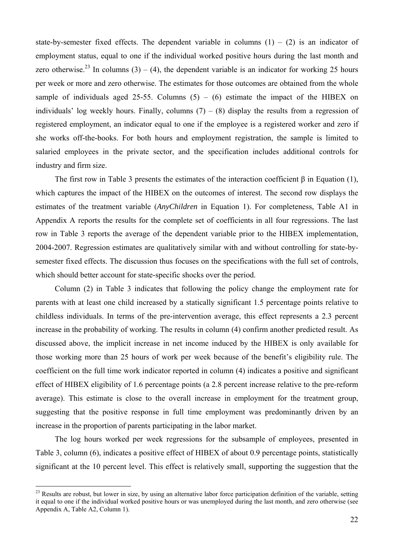state-by-semester fixed effects. The dependent variable in columns  $(1) - (2)$  is an indicator of employment status, equal to one if the individual worked positive hours during the last month and zero otherwise.<sup>23</sup> In columns (3) – (4), the dependent variable is an indicator for working 25 hours per week or more and zero otherwise. The estimates for those outcomes are obtained from the whole sample of individuals aged 25-55. Columns  $(5) - (6)$  estimate the impact of the HIBEX on individuals' log weekly hours. Finally, columns  $(7) - (8)$  display the results from a regression of registered employment, an indicator equal to one if the employee is a registered worker and zero if she works off-the-books. For both hours and employment registration, the sample is limited to salaried employees in the private sector, and the specification includes additional controls for industry and firm size.

The first row in Table 3 presents the estimates of the interaction coefficient  $\beta$  in Equation (1), which captures the impact of the HIBEX on the outcomes of interest. The second row displays the estimates of the treatment variable (*AnyChildren* in Equation 1). For completeness, Table A1 in Appendix A reports the results for the complete set of coefficients in all four regressions. The last row in Table 3 reports the average of the dependent variable prior to the HIBEX implementation, 2004-2007. Regression estimates are qualitatively similar with and without controlling for state-bysemester fixed effects. The discussion thus focuses on the specifications with the full set of controls, which should better account for state-specific shocks over the period.

Column (2) in Table 3 indicates that following the policy change the employment rate for parents with at least one child increased by a statically significant 1.5 percentage points relative to childless individuals. In terms of the pre-intervention average, this effect represents a 2.3 percent increase in the probability of working. The results in column (4) confirm another predicted result. As discussed above, the implicit increase in net income induced by the HIBEX is only available for those working more than 25 hours of work per week because of the benefit's eligibility rule. The coefficient on the full time work indicator reported in column (4) indicates a positive and significant effect of HIBEX eligibility of 1.6 percentage points (a 2.8 percent increase relative to the pre-reform average). This estimate is close to the overall increase in employment for the treatment group, suggesting that the positive response in full time employment was predominantly driven by an increase in the proportion of parents participating in the labor market.

The log hours worked per week regressions for the subsample of employees, presented in Table 3, column (6), indicates a positive effect of HIBEX of about 0.9 percentage points, statistically significant at the 10 percent level. This effect is relatively small, supporting the suggestion that the

 $^{23}$  Results are robust, but lower in size, by using an alternative labor force participation definition of the variable, setting it equal to one if the individual worked positive hours or was unemployed during the last month, and zero otherwise (see Appendix A, Table A2, Column 1).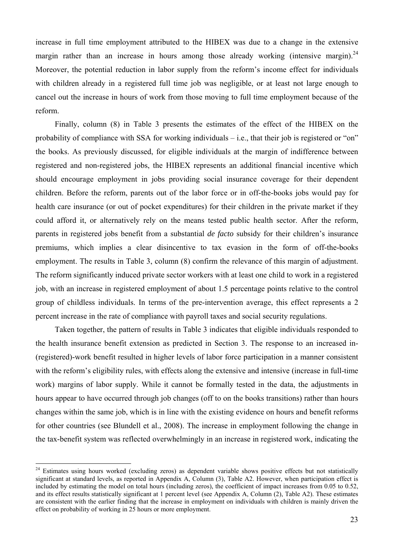increase in full time employment attributed to the HIBEX was due to a change in the extensive margin rather than an increase in hours among those already working (intensive margin).<sup>24</sup> Moreover, the potential reduction in labor supply from the reform's income effect for individuals with children already in a registered full time job was negligible, or at least not large enough to cancel out the increase in hours of work from those moving to full time employment because of the reform.

Finally, column (8) in Table 3 presents the estimates of the effect of the HIBEX on the probability of compliance with SSA for working individuals – i.e., that their job is registered or "on" the books. As previously discussed, for eligible individuals at the margin of indifference between registered and non-registered jobs, the HIBEX represents an additional financial incentive which should encourage employment in jobs providing social insurance coverage for their dependent children. Before the reform, parents out of the labor force or in off-the-books jobs would pay for health care insurance (or out of pocket expenditures) for their children in the private market if they could afford it, or alternatively rely on the means tested public health sector. After the reform, parents in registered jobs benefit from a substantial *de facto* subsidy for their children's insurance premiums, which implies a clear disincentive to tax evasion in the form of off-the-books employment. The results in Table 3, column (8) confirm the relevance of this margin of adjustment. The reform significantly induced private sector workers with at least one child to work in a registered job, with an increase in registered employment of about 1.5 percentage points relative to the control group of childless individuals. In terms of the pre-intervention average, this effect represents a 2 percent increase in the rate of compliance with payroll taxes and social security regulations.

Taken together, the pattern of results in Table 3 indicates that eligible individuals responded to the health insurance benefit extension as predicted in Section 3. The response to an increased in- (registered)-work benefit resulted in higher levels of labor force participation in a manner consistent with the reform's eligibility rules, with effects along the extensive and intensive (increase in full-time work) margins of labor supply. While it cannot be formally tested in the data, the adjustments in hours appear to have occurred through job changes (off to on the books transitions) rather than hours changes within the same job, which is in line with the existing evidence on hours and benefit reforms for other countries (see Blundell et al., 2008). The increase in employment following the change in the tax-benefit system was reflected overwhelmingly in an increase in registered work, indicating the

<sup>&</sup>lt;sup>24</sup> Estimates using hours worked (excluding zeros) as dependent variable shows positive effects but not statistically significant at standard levels, as reported in Appendix A, Column (3), Table A2. However, when participation effect is included by estimating the model on total hours (including zeros), the coefficient of impact increases from 0.05 to 0.52, and its effect results statistically significant at 1 percent level (see Appendix A, Column (2), Table A2). These estimates are consistent with the earlier finding that the increase in employment on individuals with children is mainly driven the effect on probability of working in 25 hours or more employment.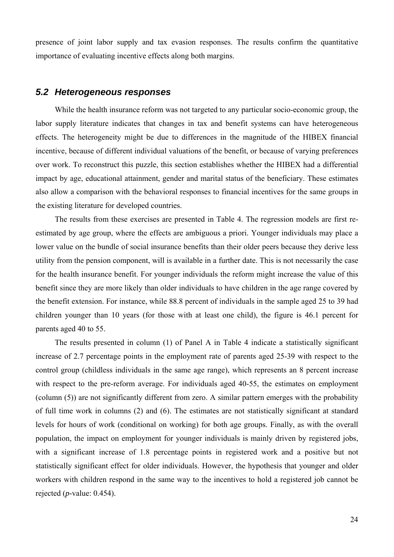presence of joint labor supply and tax evasion responses. The results confirm the quantitative importance of evaluating incentive effects along both margins.

#### *5.2 Heterogeneous responses*

While the health insurance reform was not targeted to any particular socio-economic group, the labor supply literature indicates that changes in tax and benefit systems can have heterogeneous effects. The heterogeneity might be due to differences in the magnitude of the HIBEX financial incentive, because of different individual valuations of the benefit, or because of varying preferences over work. To reconstruct this puzzle, this section establishes whether the HIBEX had a differential impact by age, educational attainment, gender and marital status of the beneficiary. These estimates also allow a comparison with the behavioral responses to financial incentives for the same groups in the existing literature for developed countries.

The results from these exercises are presented in Table 4. The regression models are first reestimated by age group, where the effects are ambiguous a priori. Younger individuals may place a lower value on the bundle of social insurance benefits than their older peers because they derive less utility from the pension component, will is available in a further date. This is not necessarily the case for the health insurance benefit. For younger individuals the reform might increase the value of this benefit since they are more likely than older individuals to have children in the age range covered by the benefit extension. For instance, while 88.8 percent of individuals in the sample aged 25 to 39 had children younger than 10 years (for those with at least one child), the figure is 46.1 percent for parents aged 40 to 55.

The results presented in column (1) of Panel A in Table 4 indicate a statistically significant increase of 2.7 percentage points in the employment rate of parents aged 25-39 with respect to the control group (childless individuals in the same age range), which represents an 8 percent increase with respect to the pre-reform average. For individuals aged 40-55, the estimates on employment (column (5)) are not significantly different from zero. A similar pattern emerges with the probability of full time work in columns (2) and (6). The estimates are not statistically significant at standard levels for hours of work (conditional on working) for both age groups. Finally, as with the overall population, the impact on employment for younger individuals is mainly driven by registered jobs, with a significant increase of 1.8 percentage points in registered work and a positive but not statistically significant effect for older individuals. However, the hypothesis that younger and older workers with children respond in the same way to the incentives to hold a registered job cannot be rejected (*p*-value: 0.454).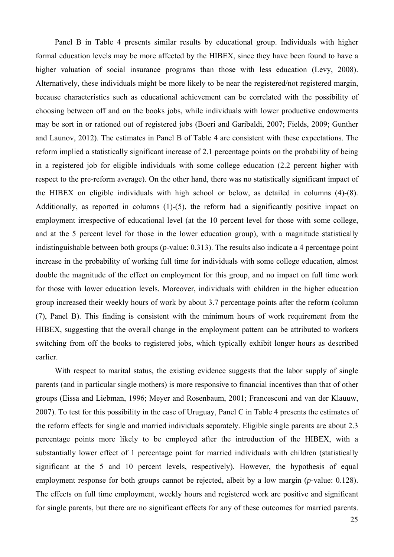Panel B in Table 4 presents similar results by educational group. Individuals with higher formal education levels may be more affected by the HIBEX, since they have been found to have a higher valuation of social insurance programs than those with less education (Levy, 2008). Alternatively, these individuals might be more likely to be near the registered/not registered margin, because characteristics such as educational achievement can be correlated with the possibility of choosing between off and on the books jobs, while individuals with lower productive endowments may be sort in or rationed out of registered jobs (Boeri and Garibaldi, 2007; Fields, 2009; Gunther and Launov, 2012). The estimates in Panel B of Table 4 are consistent with these expectations. The reform implied a statistically significant increase of 2.1 percentage points on the probability of being in a registered job for eligible individuals with some college education (2.2 percent higher with respect to the pre-reform average). On the other hand, there was no statistically significant impact of the HIBEX on eligible individuals with high school or below, as detailed in columns (4)-(8). Additionally, as reported in columns (1)-(5), the reform had a significantly positive impact on employment irrespective of educational level (at the 10 percent level for those with some college, and at the 5 percent level for those in the lower education group), with a magnitude statistically indistinguishable between both groups (*p*-value: 0.313). The results also indicate a 4 percentage point increase in the probability of working full time for individuals with some college education, almost double the magnitude of the effect on employment for this group, and no impact on full time work for those with lower education levels. Moreover, individuals with children in the higher education group increased their weekly hours of work by about 3.7 percentage points after the reform (column (7), Panel B). This finding is consistent with the minimum hours of work requirement from the HIBEX, suggesting that the overall change in the employment pattern can be attributed to workers switching from off the books to registered jobs, which typically exhibit longer hours as described earlier.

With respect to marital status, the existing evidence suggests that the labor supply of single parents (and in particular single mothers) is more responsive to financial incentives than that of other groups (Eissa and Liebman, 1996; Meyer and Rosenbaum, 2001; Francesconi and van der Klauuw, 2007). To test for this possibility in the case of Uruguay, Panel C in Table 4 presents the estimates of the reform effects for single and married individuals separately. Eligible single parents are about 2.3 percentage points more likely to be employed after the introduction of the HIBEX, with a substantially lower effect of 1 percentage point for married individuals with children (statistically significant at the 5 and 10 percent levels, respectively). However, the hypothesis of equal employment response for both groups cannot be rejected, albeit by a low margin (*p*-value: 0.128). The effects on full time employment, weekly hours and registered work are positive and significant for single parents, but there are no significant effects for any of these outcomes for married parents.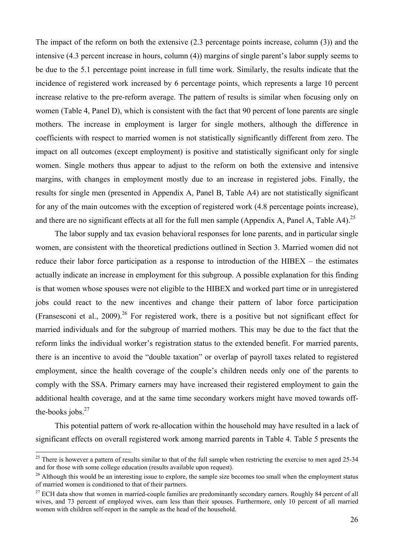The impact of the reform on both the extensive (2.3 percentage points increase, column (3)) and the intensive (4.3 percent increase in hours, column (4)) margins of single parent's labor supply seems to be due to the 5.1 percentage point increase in full time work. Similarly, the results indicate that the incidence of registered work increased by 6 percentage points, which represents a large 10 percent increase relative to the pre-reform average. The pattern of results is similar when focusing only on women (Table 4, Panel D), which is consistent with the fact that 90 percent of lone parents are single mothers. The increase in employment is larger for single mothers, although the difference in coefficients with respect to married women is not statistically significantly different from zero. The impact on all outcomes (except employment) is positive and statistically significant only for single women. Single mothers thus appear to adjust to the reform on both the extensive and intensive margins, with changes in employment mostly due to an increase in registered jobs. Finally, the results for single men (presented in Appendix A, Panel B, Table A4) are not statistically significant for any of the main outcomes with the exception of registered work (4.8 percentage points increase), and there are no significant effects at all for the full men sample (Appendix A, Panel A, Table A4).<sup>25</sup>

The labor supply and tax evasion behavioral responses for lone parents, and in particular single women, are consistent with the theoretical predictions outlined in Section 3. Married women did not reduce their labor force participation as a response to introduction of the HIBEX – the estimates actually indicate an increase in employment for this subgroup. A possible explanation for this finding is that women whose spouses were not eligible to the HIBEX and worked part time or in unregistered jobs could react to the new incentives and change their pattern of labor force participation (Fransesconi et al., 2009).<sup>26</sup> For registered work, there is a positive but not significant effect for married individuals and for the subgroup of married mothers. This may be due to the fact that the reform links the individual worker's registration status to the extended benefit. For married parents, there is an incentive to avoid the "double taxation" or overlap of payroll taxes related to registered employment, since the health coverage of the couple's children needs only one of the parents to comply with the SSA. Primary earners may have increased their registered employment to gain the additional health coverage, and at the same time secondary workers might have moved towards offthe-books jobs. $27$ 

This potential pattern of work re-allocation within the household may have resulted in a lack of significant effects on overall registered work among married parents in Table 4. Table 5 presents the

 $25$  There is however a pattern of results similar to that of the full sample when restricting the exercise to men aged 25-34 and for those with some college education (results available upon request).

<sup>&</sup>lt;sup>26</sup> Although this would be an interesting issue to explore, the sample size becomes too small when the employment status of married women is conditioned to that of their partners.

 $27$  ECH data show that women in married-couple families are predominantly secondary earners. Roughly 84 percent of all wives, and 73 percent of employed wives, earn less than their spouses. Furthermore, only 10 percent of all married women with children self-report in the sample as the head of the household.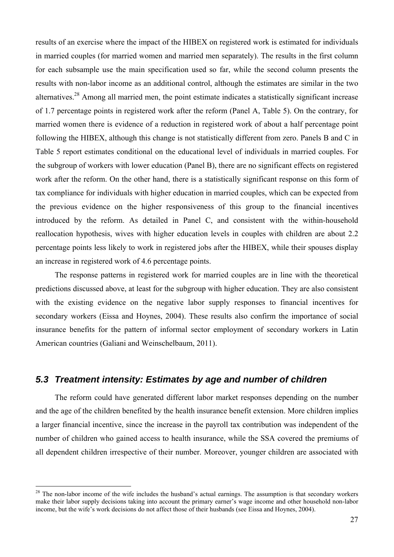results of an exercise where the impact of the HIBEX on registered work is estimated for individuals in married couples (for married women and married men separately). The results in the first column for each subsample use the main specification used so far, while the second column presents the results with non-labor income as an additional control, although the estimates are similar in the two alternatives.28 Among all married men, the point estimate indicates a statistically significant increase of 1.7 percentage points in registered work after the reform (Panel A, Table 5). On the contrary, for married women there is evidence of a reduction in registered work of about a half percentage point following the HIBEX, although this change is not statistically different from zero. Panels B and C in Table 5 report estimates conditional on the educational level of individuals in married couples. For the subgroup of workers with lower education (Panel B), there are no significant effects on registered work after the reform. On the other hand, there is a statistically significant response on this form of tax compliance for individuals with higher education in married couples, which can be expected from the previous evidence on the higher responsiveness of this group to the financial incentives introduced by the reform. As detailed in Panel C, and consistent with the within-household reallocation hypothesis, wives with higher education levels in couples with children are about 2.2 percentage points less likely to work in registered jobs after the HIBEX, while their spouses display an increase in registered work of 4.6 percentage points.

The response patterns in registered work for married couples are in line with the theoretical predictions discussed above, at least for the subgroup with higher education. They are also consistent with the existing evidence on the negative labor supply responses to financial incentives for secondary workers (Eissa and Hoynes, 2004). These results also confirm the importance of social insurance benefits for the pattern of informal sector employment of secondary workers in Latin American countries (Galiani and Weinschelbaum, 2011).

#### *5.3 Treatment intensity: Estimates by age and number of children*

The reform could have generated different labor market responses depending on the number and the age of the children benefited by the health insurance benefit extension. More children implies a larger financial incentive, since the increase in the payroll tax contribution was independent of the number of children who gained access to health insurance, while the SSA covered the premiums of all dependent children irrespective of their number. Moreover, younger children are associated with

<sup>&</sup>lt;sup>28</sup> The non-labor income of the wife includes the husband's actual earnings. The assumption is that secondary workers make their labor supply decisions taking into account the primary earner's wage income and other household non-labor income, but the wife's work decisions do not affect those of their husbands (see Eissa and Hoynes, 2004).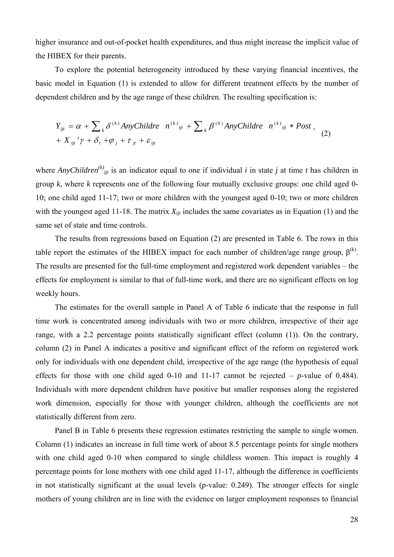higher insurance and out-of-pocket health expenditures, and thus might increase the implicit value of the HIBEX for their parents.

To explore the potential heterogeneity introduced by these varying financial incentives, the basic model in Equation (1) is extended to allow for different treatment effects by the number of dependent children and by the age range of these children. The resulting specification is:

$$
Y_{ijt} = \alpha + \sum_{k} \delta^{(k)} \text{AnyChildren } n^{(k)}_{ijt} + \sum_{k} \beta^{(k)} \text{AnyChildren } n^{(k)}_{ijt} * \text{Post}_{t}
$$
  
+  $X_{ijt} \gamma + \delta_{t} + \varphi_{j} + \tau_{jt} + \varepsilon_{ijt}$  (2)

where *AnyChildren*<sup>(k)</sup><sub>ijt</sub> is an indicator equal to one if individual *i* in state *j* at time *t* has children in group *k*, where *k* represents one of the following four mutually exclusive groups: one child aged 0- 10; one child aged 11-17; two or more children with the youngest aged 0-10; two or more children with the youngest aged 11-18. The matrix  $X_{i}$  includes the same covariates as in Equation (1) and the same set of state and time controls.

The results from regressions based on Equation (2) are presented in Table 6. The rows in this table report the estimates of the HIBEX impact for each number of children/age range group,  $\beta^{(k)}$ . The results are presented for the full-time employment and registered work dependent variables – the effects for employment is similar to that of full-time work, and there are no significant effects on log weekly hours.

The estimates for the overall sample in Panel A of Table 6 indicate that the response in full time work is concentrated among individuals with two or more children, irrespective of their age range, with a 2.2 percentage points statistically significant effect (column (1)). On the contrary, column (2) in Panel A indicates a positive and significant effect of the reform on registered work only for individuals with one dependent child, irrespective of the age range (the hypothesis of equal effects for those with one child aged 0-10 and 11-17 cannot be rejected – *p*-value of 0.484). Individuals with more dependent children have positive but smaller responses along the registered work dimension, especially for those with younger children, although the coefficients are not statistically different from zero.

Panel B in Table 6 presents these regression estimates restricting the sample to single women. Column (1) indicates an increase in full time work of about 8.5 percentage points for single mothers with one child aged 0-10 when compared to single childless women. This impact is roughly 4 percentage points for lone mothers with one child aged 11-17, although the difference in coefficients in not statistically significant at the usual levels (*p*-value: 0.249). The stronger effects for single mothers of young children are in line with the evidence on larger employment responses to financial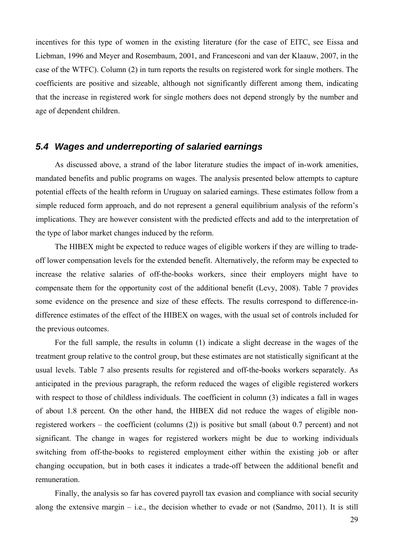incentives for this type of women in the existing literature (for the case of EITC, see Eissa and Liebman, 1996 and Meyer and Rosembaum, 2001, and Francesconi and van der Klaauw, 2007, in the case of the WTFC). Column (2) in turn reports the results on registered work for single mothers. The coefficients are positive and sizeable, although not significantly different among them, indicating that the increase in registered work for single mothers does not depend strongly by the number and age of dependent children.

## *5.4 Wages and underreporting of salaried earnings*

As discussed above, a strand of the labor literature studies the impact of in-work amenities, mandated benefits and public programs on wages. The analysis presented below attempts to capture potential effects of the health reform in Uruguay on salaried earnings. These estimates follow from a simple reduced form approach, and do not represent a general equilibrium analysis of the reform's implications. They are however consistent with the predicted effects and add to the interpretation of the type of labor market changes induced by the reform.

The HIBEX might be expected to reduce wages of eligible workers if they are willing to tradeoff lower compensation levels for the extended benefit. Alternatively, the reform may be expected to increase the relative salaries of off-the-books workers, since their employers might have to compensate them for the opportunity cost of the additional benefit (Levy, 2008). Table 7 provides some evidence on the presence and size of these effects. The results correspond to difference-indifference estimates of the effect of the HIBEX on wages, with the usual set of controls included for the previous outcomes.

For the full sample, the results in column (1) indicate a slight decrease in the wages of the treatment group relative to the control group, but these estimates are not statistically significant at the usual levels. Table 7 also presents results for registered and off-the-books workers separately. As anticipated in the previous paragraph, the reform reduced the wages of eligible registered workers with respect to those of childless individuals. The coefficient in column (3) indicates a fall in wages of about 1.8 percent. On the other hand, the HIBEX did not reduce the wages of eligible nonregistered workers – the coefficient (columns (2)) is positive but small (about 0.7 percent) and not significant. The change in wages for registered workers might be due to working individuals switching from off-the-books to registered employment either within the existing job or after changing occupation, but in both cases it indicates a trade-off between the additional benefit and remuneration.

Finally, the analysis so far has covered payroll tax evasion and compliance with social security along the extensive margin  $-$  i.e., the decision whether to evade or not (Sandmo, 2011). It is still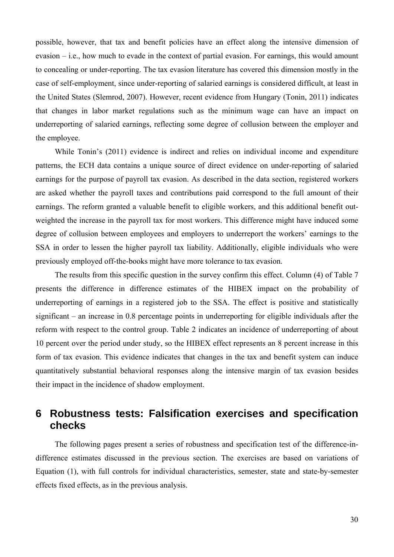possible, however, that tax and benefit policies have an effect along the intensive dimension of evasion – i.e., how much to evade in the context of partial evasion. For earnings, this would amount to concealing or under-reporting. The tax evasion literature has covered this dimension mostly in the case of self-employment, since under-reporting of salaried earnings is considered difficult, at least in the United States (Slemrod, 2007). However, recent evidence from Hungary (Tonin, 2011) indicates that changes in labor market regulations such as the minimum wage can have an impact on underreporting of salaried earnings, reflecting some degree of collusion between the employer and the employee.

While Tonin's (2011) evidence is indirect and relies on individual income and expenditure patterns, the ECH data contains a unique source of direct evidence on under-reporting of salaried earnings for the purpose of payroll tax evasion. As described in the data section, registered workers are asked whether the payroll taxes and contributions paid correspond to the full amount of their earnings. The reform granted a valuable benefit to eligible workers, and this additional benefit outweighted the increase in the payroll tax for most workers. This difference might have induced some degree of collusion between employees and employers to underreport the workers' earnings to the SSA in order to lessen the higher payroll tax liability. Additionally, eligible individuals who were previously employed off-the-books might have more tolerance to tax evasion.

The results from this specific question in the survey confirm this effect. Column (4) of Table 7 presents the difference in difference estimates of the HIBEX impact on the probability of underreporting of earnings in a registered job to the SSA. The effect is positive and statistically significant – an increase in 0.8 percentage points in underreporting for eligible individuals after the reform with respect to the control group. Table 2 indicates an incidence of underreporting of about 10 percent over the period under study, so the HIBEX effect represents an 8 percent increase in this form of tax evasion. This evidence indicates that changes in the tax and benefit system can induce quantitatively substantial behavioral responses along the intensive margin of tax evasion besides their impact in the incidence of shadow employment.

## **6 Robustness tests: Falsification exercises and specification checks**

The following pages present a series of robustness and specification test of the difference-indifference estimates discussed in the previous section. The exercises are based on variations of Equation (1), with full controls for individual characteristics, semester, state and state-by-semester effects fixed effects, as in the previous analysis.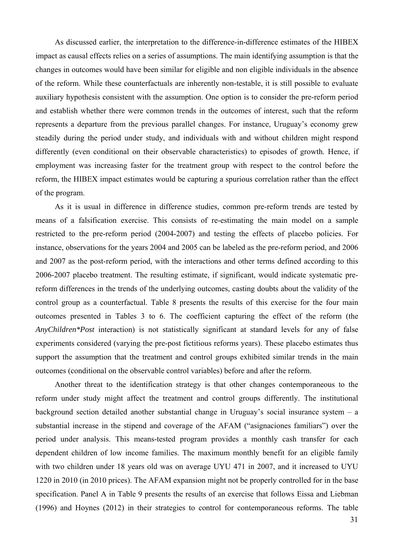As discussed earlier, the interpretation to the difference-in-difference estimates of the HIBEX impact as causal effects relies on a series of assumptions. The main identifying assumption is that the changes in outcomes would have been similar for eligible and non eligible individuals in the absence of the reform. While these counterfactuals are inherently non-testable, it is still possible to evaluate auxiliary hypothesis consistent with the assumption. One option is to consider the pre-reform period and establish whether there were common trends in the outcomes of interest, such that the reform represents a departure from the previous parallel changes. For instance, Uruguay's economy grew steadily during the period under study, and individuals with and without children might respond differently (even conditional on their observable characteristics) to episodes of growth. Hence, if employment was increasing faster for the treatment group with respect to the control before the reform, the HIBEX impact estimates would be capturing a spurious correlation rather than the effect of the program.

As it is usual in difference in difference studies, common pre-reform trends are tested by means of a falsification exercise. This consists of re-estimating the main model on a sample restricted to the pre-reform period (2004-2007) and testing the effects of placebo policies. For instance, observations for the years 2004 and 2005 can be labeled as the pre-reform period, and 2006 and 2007 as the post-reform period, with the interactions and other terms defined according to this 2006-2007 placebo treatment. The resulting estimate, if significant, would indicate systematic prereform differences in the trends of the underlying outcomes, casting doubts about the validity of the control group as a counterfactual. Table 8 presents the results of this exercise for the four main outcomes presented in Tables 3 to 6. The coefficient capturing the effect of the reform (the *AnyChildren\*Post* interaction) is not statistically significant at standard levels for any of false experiments considered (varying the pre-post fictitious reforms years). These placebo estimates thus support the assumption that the treatment and control groups exhibited similar trends in the main outcomes (conditional on the observable control variables) before and after the reform.

Another threat to the identification strategy is that other changes contemporaneous to the reform under study might affect the treatment and control groups differently. The institutional background section detailed another substantial change in Uruguay's social insurance system – a substantial increase in the stipend and coverage of the AFAM ("asignaciones familiars") over the period under analysis. This means-tested program provides a monthly cash transfer for each dependent children of low income families. The maximum monthly benefit for an eligible family with two children under 18 years old was on average UYU 471 in 2007, and it increased to UYU 1220 in 2010 (in 2010 prices). The AFAM expansion might not be properly controlled for in the base specification. Panel A in Table 9 presents the results of an exercise that follows Eissa and Liebman (1996) and Hoynes (2012) in their strategies to control for contemporaneous reforms. The table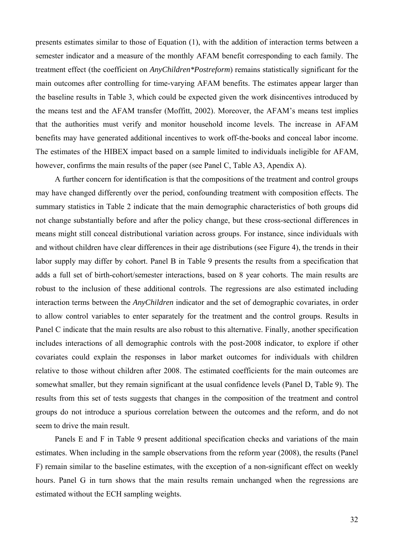presents estimates similar to those of Equation (1), with the addition of interaction terms between a semester indicator and a measure of the monthly AFAM benefit corresponding to each family. The treatment effect (the coefficient on *AnyChildren\*Postreform*) remains statistically significant for the main outcomes after controlling for time-varying AFAM benefits. The estimates appear larger than the baseline results in Table 3, which could be expected given the work disincentives introduced by the means test and the AFAM transfer (Moffitt, 2002). Moreover, the AFAM's means test implies that the authorities must verify and monitor household income levels. The increase in AFAM benefits may have generated additional incentives to work off-the-books and conceal labor income. The estimates of the HIBEX impact based on a sample limited to individuals ineligible for AFAM, however, confirms the main results of the paper (see Panel C, Table A3, Apendix A).

A further concern for identification is that the compositions of the treatment and control groups may have changed differently over the period, confounding treatment with composition effects. The summary statistics in Table 2 indicate that the main demographic characteristics of both groups did not change substantially before and after the policy change, but these cross-sectional differences in means might still conceal distributional variation across groups. For instance, since individuals with and without children have clear differences in their age distributions (see Figure 4), the trends in their labor supply may differ by cohort. Panel B in Table 9 presents the results from a specification that adds a full set of birth-cohort/semester interactions, based on 8 year cohorts. The main results are robust to the inclusion of these additional controls. The regressions are also estimated including interaction terms between the *AnyChildren* indicator and the set of demographic covariates, in order to allow control variables to enter separately for the treatment and the control groups. Results in Panel C indicate that the main results are also robust to this alternative. Finally, another specification includes interactions of all demographic controls with the post-2008 indicator, to explore if other covariates could explain the responses in labor market outcomes for individuals with children relative to those without children after 2008. The estimated coefficients for the main outcomes are somewhat smaller, but they remain significant at the usual confidence levels (Panel D, Table 9). The results from this set of tests suggests that changes in the composition of the treatment and control groups do not introduce a spurious correlation between the outcomes and the reform, and do not seem to drive the main result.

Panels E and F in Table 9 present additional specification checks and variations of the main estimates. When including in the sample observations from the reform year (2008), the results (Panel F) remain similar to the baseline estimates, with the exception of a non-significant effect on weekly hours. Panel G in turn shows that the main results remain unchanged when the regressions are estimated without the ECH sampling weights.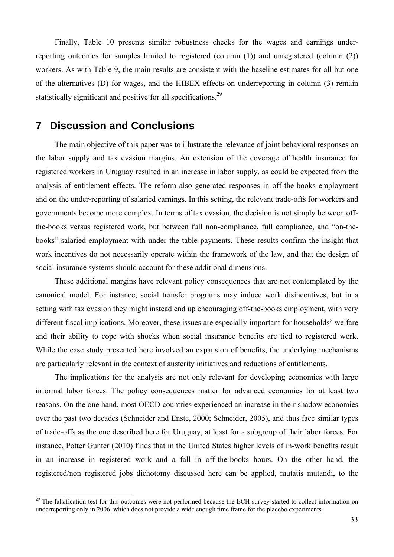Finally, Table 10 presents similar robustness checks for the wages and earnings underreporting outcomes for samples limited to registered (column (1)) and unregistered (column (2)) workers. As with Table 9, the main results are consistent with the baseline estimates for all but one of the alternatives (D) for wages, and the HIBEX effects on underreporting in column (3) remain statistically significant and positive for all specifications.<sup>29</sup>

## **7 Discussion and Conclusions**

 $\overline{a}$ 

The main objective of this paper was to illustrate the relevance of joint behavioral responses on the labor supply and tax evasion margins. An extension of the coverage of health insurance for registered workers in Uruguay resulted in an increase in labor supply, as could be expected from the analysis of entitlement effects. The reform also generated responses in off-the-books employment and on the under-reporting of salaried earnings. In this setting, the relevant trade-offs for workers and governments become more complex. In terms of tax evasion, the decision is not simply between offthe-books versus registered work, but between full non-compliance, full compliance, and "on-thebooks" salaried employment with under the table payments. These results confirm the insight that work incentives do not necessarily operate within the framework of the law, and that the design of social insurance systems should account for these additional dimensions.

These additional margins have relevant policy consequences that are not contemplated by the canonical model. For instance, social transfer programs may induce work disincentives, but in a setting with tax evasion they might instead end up encouraging off-the-books employment, with very different fiscal implications. Moreover, these issues are especially important for households' welfare and their ability to cope with shocks when social insurance benefits are tied to registered work. While the case study presented here involved an expansion of benefits, the underlying mechanisms are particularly relevant in the context of austerity initiatives and reductions of entitlements.

The implications for the analysis are not only relevant for developing economies with large informal labor forces. The policy consequences matter for advanced economies for at least two reasons. On the one hand, most OECD countries experienced an increase in their shadow economies over the past two decades (Schneider and Enste, 2000; Schneider, 2005), and thus face similar types of trade-offs as the one described here for Uruguay, at least for a subgroup of their labor forces. For instance, Potter Gunter (2010) finds that in the United States higher levels of in-work benefits result in an increase in registered work and a fall in off-the-books hours. On the other hand, the registered/non registered jobs dichotomy discussed here can be applied, mutatis mutandi, to the

<sup>&</sup>lt;sup>29</sup> The falsification test for this outcomes were not performed because the ECH survey started to collect information on underreporting only in 2006, which does not provide a wide enough time frame for the placebo experiments.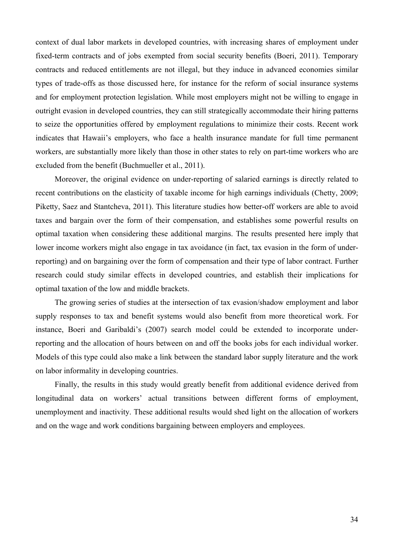context of dual labor markets in developed countries, with increasing shares of employment under fixed-term contracts and of jobs exempted from social security benefits (Boeri, 2011). Temporary contracts and reduced entitlements are not illegal, but they induce in advanced economies similar types of trade-offs as those discussed here, for instance for the reform of social insurance systems and for employment protection legislation. While most employers might not be willing to engage in outright evasion in developed countries, they can still strategically accommodate their hiring patterns to seize the opportunities offered by employment regulations to minimize their costs. Recent work indicates that Hawaii's employers, who face a health insurance mandate for full time permanent workers, are substantially more likely than those in other states to rely on part-time workers who are excluded from the benefit (Buchmueller et al., 2011).

Moreover, the original evidence on under-reporting of salaried earnings is directly related to recent contributions on the elasticity of taxable income for high earnings individuals (Chetty, 2009; Piketty, Saez and Stantcheva, 2011). This literature studies how better-off workers are able to avoid taxes and bargain over the form of their compensation, and establishes some powerful results on optimal taxation when considering these additional margins. The results presented here imply that lower income workers might also engage in tax avoidance (in fact, tax evasion in the form of underreporting) and on bargaining over the form of compensation and their type of labor contract. Further research could study similar effects in developed countries, and establish their implications for optimal taxation of the low and middle brackets.

The growing series of studies at the intersection of tax evasion/shadow employment and labor supply responses to tax and benefit systems would also benefit from more theoretical work. For instance, Boeri and Garibaldi's (2007) search model could be extended to incorporate underreporting and the allocation of hours between on and off the books jobs for each individual worker. Models of this type could also make a link between the standard labor supply literature and the work on labor informality in developing countries.

Finally, the results in this study would greatly benefit from additional evidence derived from longitudinal data on workers' actual transitions between different forms of employment, unemployment and inactivity. These additional results would shed light on the allocation of workers and on the wage and work conditions bargaining between employers and employees.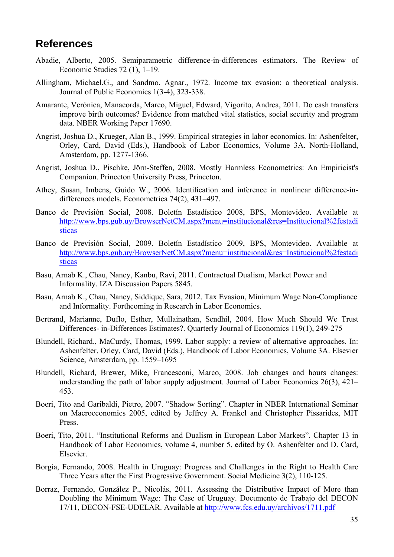## **References**

- Abadie, Alberto, 2005. Semiparametric difference-in-differences estimators. The Review of Economic Studies 72 (1), 1–19.
- Allingham, Michael.G., and Sandmo, Agnar., 1972. Income tax evasion: a theoretical analysis. Journal of Public Economics 1(3-4), 323-338.
- Amarante, Verónica, Manacorda, Marco, Miguel, Edward, Vigorito, Andrea, 2011. Do cash transfers improve birth outcomes? Evidence from matched vital statistics, social security and program data. NBER Working Paper 17690.
- Angrist, Joshua D., Krueger, Alan B., 1999. Empirical strategies in labor economics. In: Ashenfelter, Orley, Card, David (Eds.), Handbook of Labor Economics, Volume 3A. North-Holland, Amsterdam, pp. 1277-1366.
- Angrist, Joshua D., Pischke, Jörn-Steffen, 2008. Mostly Harmless Econometrics: An Empiricist's Companion. Princeton University Press, Princeton.
- Athey, Susan, Imbens, Guido W., 2006. Identification and inference in nonlinear difference-indifferences models. Econometrica 74(2), 431–497.
- Banco de Previsión Social, 2008. Boletín Estadístico 2008, BPS, Montevideo. Available at http://www.bps.gub.uy/BrowserNetCM.aspx?menu=institucional&res=Institucional%2festadi sticas
- Banco de Previsión Social, 2009. Boletín Estadístico 2009, BPS, Montevideo. Available at http://www.bps.gub.uy/BrowserNetCM.aspx?menu=institucional&res=Institucional%2festadi sticas
- Basu, Arnab K., Chau, Nancy, Kanbu, Ravi, 2011. Contractual Dualism, Market Power and Informality. IZA Discussion Papers 5845.
- Basu, Arnab K., Chau, Nancy, Siddique, Sara, 2012. Tax Evasion, Minimum Wage Non-Compliance and Informality. Forthcoming in Research in Labor Economics.
- Bertrand, Marianne, Duflo, Esther, Mullainathan, Sendhil, 2004. How Much Should We Trust Differences- in-Differences Estimates?. Quarterly Journal of Economics 119(1), 249-275
- Blundell, Richard., MaCurdy, Thomas, 1999. Labor supply: a review of alternative approaches. In: Ashenfelter, Orley, Card, David (Eds.), Handbook of Labor Economics, Volume 3A. Elsevier Science, Amsterdam, pp. 1559–1695
- Blundell, Richard, Brewer, Mike, Francesconi, Marco, 2008. Job changes and hours changes: understanding the path of labor supply adjustment. Journal of Labor Economics 26(3), 421– 453.
- Boeri, Tito and Garibaldi, Pietro, 2007. "Shadow Sorting". Chapter in NBER International Seminar on Macroeconomics 2005, edited by Jeffrey A. Frankel and Christopher Pissarides, MIT Press.
- Boeri, Tito, 2011. "Institutional Reforms and Dualism in European Labor Markets". Chapter 13 in Handbook of Labor Economics, volume 4, number 5, edited by O. Ashenfelter and D. Card, Elsevier.
- Borgia, Fernando, 2008. Health in Uruguay: Progress and Challenges in the Right to Health Care Three Years after the First Progressive Government. Social Medicine 3(2), 110-125.
- Borraz, Fernando, González P., Nicolás, 2011. Assessing the Distributive Impact of More than Doubling the Minimum Wage: The Case of Uruguay. Documento de Trabajo del DECON 17/11, DECON-FSE-UDELAR. Available at http://www.fcs.edu.uy/archivos/1711.pdf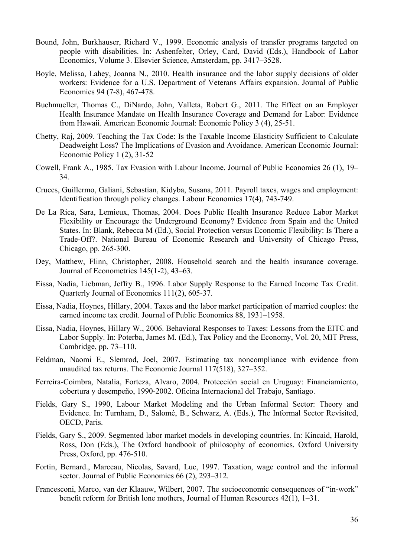- Bound, John, Burkhauser, Richard V., 1999. Economic analysis of transfer programs targeted on people with disabilities. In: Ashenfelter, Orley, Card, David (Eds.), Handbook of Labor Economics, Volume 3. Elsevier Science, Amsterdam, pp. 3417–3528.
- Boyle, Melissa, Lahey, Joanna N., 2010. Health insurance and the labor supply decisions of older workers: Evidence for a U.S. Department of Veterans Affairs expansion. Journal of Public Economics 94 (7-8), 467-478.
- Buchmueller, Thomas C., DiNardo, John, Valleta, Robert G., 2011. The Effect on an Employer Health Insurance Mandate on Health Insurance Coverage and Demand for Labor: Evidence from Hawaii. American Economic Journal: Economic Policy 3 (4), 25-51.
- Chetty, Raj, 2009. Teaching the Tax Code: Is the Taxable Income Elasticity Sufficient to Calculate Deadweight Loss? The Implications of Evasion and Avoidance. American Economic Journal: Economic Policy 1 (2), 31-52
- Cowell, Frank A., 1985. Tax Evasion with Labour Income. Journal of Public Economics 26 (1), 19– 34.
- Cruces, Guillermo, Galiani, Sebastian, Kidyba, Susana, 2011. Payroll taxes, wages and employment: Identification through policy changes. Labour Economics 17(4), 743-749.
- De La Rica, Sara, Lemieux, Thomas, 2004. Does Public Health Insurance Reduce Labor Market Flexibility or Encourage the Underground Economy? Evidence from Spain and the United States. In: Blank, Rebecca M (Ed.), Social Protection versus Economic Flexibility: Is There a Trade-Off?. National Bureau of Economic Research and University of Chicago Press, Chicago, pp. 265-300.
- Dey, Matthew, Flinn, Christopher, 2008. Household search and the health insurance coverage. Journal of Econometrics 145(1-2), 43–63.
- Eissa, Nadia, Liebman, Jeffry B., 1996. Labor Supply Response to the Earned Income Tax Credit. Quarterly Journal of Economics 111(2), 605-37.
- Eissa, Nadia, Hoynes, Hillary, 2004. Taxes and the labor market participation of married couples: the earned income tax credit. Journal of Public Economics 88, 1931–1958.
- Eissa, Nadia, Hoynes, Hillary W., 2006. Behavioral Responses to Taxes: Lessons from the EITC and Labor Supply. In: Poterba, James M. (Ed.), Tax Policy and the Economy, Vol. 20, MIT Press, Cambridge, pp. 73–110.
- Feldman, Naomi E., Slemrod, Joel, 2007. Estimating tax noncompliance with evidence from unaudited tax returns. The Economic Journal 117(518), 327–352.
- Ferreira-Coimbra, Natalia, Forteza, Alvaro, 2004. Protección social en Uruguay: Financiamiento, cobertura y desempeño, 1990-2002. Oficina Internacional del Trabajo, Santiago.
- Fields, Gary S., 1990, Labour Market Modeling and the Urban Informal Sector: Theory and Evidence. In: Turnham, D., Salomé, B., Schwarz, A. (Eds.), The Informal Sector Revisited, OECD, Paris.
- Fields, Gary S., 2009. Segmented labor market models in developing countries. In: Kincaid, Harold, Ross, Don (Eds.), The Oxford handbook of philosophy of economics. Oxford University Press, Oxford, pp. 476-510.
- Fortin, Bernard., Marceau, Nicolas, Savard, Luc, 1997. Taxation, wage control and the informal sector. Journal of Public Economics 66 (2), 293–312.
- Francesconi, Marco, van der Klaauw, Wilbert, 2007. The socioeconomic consequences of "in-work" benefit reform for British lone mothers, Journal of Human Resources 42(1), 1–31.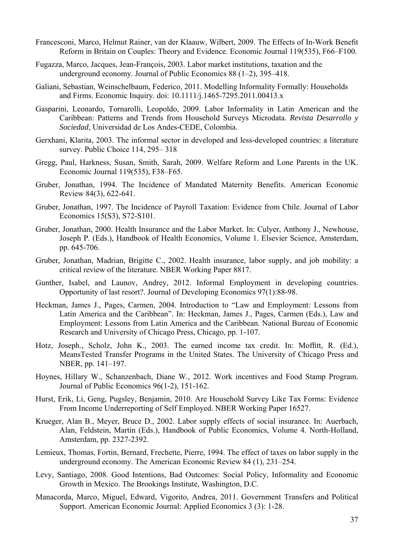- Francesconi, Marco, Helmut Rainer, van der Klaauw, Wilbert, 2009. The Effects of In-Work Benefit Reform in Britain on Couples: Theory and Evidence. Economic Journal 119(535), F66–F100.
- Fugazza, Marco, Jacques, Jean-François, 2003. Labor market institutions, taxation and the underground economy. Journal of Public Economics 88 (1–2), 395–418.
- Galiani, Sebastian, Weinschelbaum, Federico, 2011. Modelling Informality Formally: Households and Firms. Economic Inquiry. doi: 10.1111/j.1465-7295.2011.00413.x
- Gasparini, Leonardo, Tornarolli, Leopoldo, 2009. Labor Informality in Latin American and the Caribbean: Patterns and Trends from Household Surveys Microdata. *Revista Desarrollo y Sociedad*, Universidad de Los Andes-CEDE, Colombia.
- Gerxhani, Klarita, 2003. The informal sector in developed and less-developed countries: a literature survey. Public Choice 114, 295– 318.
- Gregg, Paul, Harkness, Susan, Smith, Sarah, 2009. Welfare Reform and Lone Parents in the UK. Economic Journal 119(535), F38–F65.
- Gruber, Jonathan, 1994. The Incidence of Mandated Maternity Benefits. American Economic Review 84(3), 622-641.
- Gruber, Jonathan, 1997. The Incidence of Payroll Taxation: Evidence from Chile. Journal of Labor Economics 15(S3), S72-S101.
- Gruber, Jonathan, 2000. Health Insurance and the Labor Market. In: Culyer, Anthony J., Newhouse, Joseph P. (Eds.), Handbook of Health Economics, Volume 1. Elsevier Science, Amsterdam, pp. 645-706.
- Gruber, Jonathan, Madrian, Brigitte C., 2002. Health insurance, labor supply, and job mobility: a critical review of the literature. NBER Working Paper 8817.
- Gunther, Isabel, and Launov, Andrey, 2012. Informal Employment in developing countries. Opportunity of last resort?. Journal of Developing Economics 97(1):88-98.
- Heckman, James J., Pages, Carmen, 2004. Introduction to "Law and Employment: Lessons from Latin America and the Caribbean". In: Heckman, James J., Pages, Carmen (Eds.), Law and Employment: Lessons from Latin America and the Caribbean. National Bureau of Economic Research and University of Chicago Press, Chicago, pp. 1-107.
- Hotz, Joseph., Scholz, John K., 2003. The earned income tax credit. In: Moffitt, R. (Ed.), MeansTested Transfer Programs in the United States. The University of Chicago Press and NBER, pp. 141–197.
- Hoynes, Hillary W., Schanzenbach, Diane W., 2012. Work incentives and Food Stamp Program. Journal of Public Economics 96(1-2), 151-162.
- Hurst, Erik, Li, Geng, Pugsley, Benjamin, 2010. Are Household Survey Like Tax Forms: Evidence From Income Underreporting of Self Employed. NBER Working Paper 16527.
- Krueger, Alan B., Meyer, Bruce D., 2002. Labor supply effects of social insurance. In: Auerbach, Alan, Feldstein, Martin (Eds.), Handbook of Public Economics, Volume 4. North-Holland, Amsterdam, pp. 2327-2392.
- Lemieux, Thomas, Fortin, Bernard, Frechette, Pierre, 1994. The effect of taxes on labor supply in the underground economy. The American Economic Review 84 (1), 231–254.
- Levy, Santiago, 2008. Good Intentions, Bad Outcomes: Social Policy, Informality and Economic Growth in Mexico. The Brookings Institute, Washington, D.C.
- Manacorda, Marco, Miguel, Edward, Vigorito, Andrea, 2011. Government Transfers and Political Support. American Economic Journal: Applied Economics 3 (3): 1-28.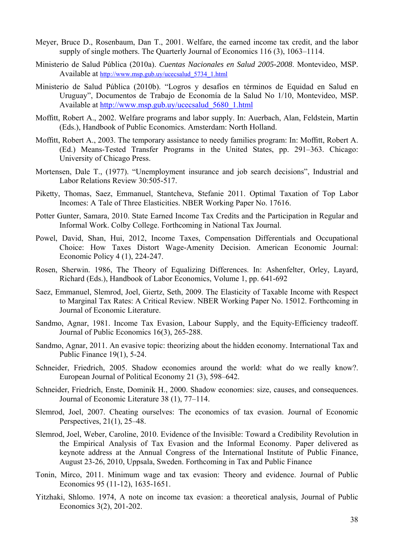- Meyer, Bruce D., Rosenbaum, Dan T., 2001. Welfare, the earned income tax credit, and the labor supply of single mothers. The Quarterly Journal of Economics 116 (3), 1063–1114.
- Ministerio de Salud Pública (2010a). *Cuentas Nacionales en Salud 2005-2008*. Montevideo, MSP. Available at http://www.msp.gub.uy/ucecsalud\_5734\_1.html
- Ministerio de Salud Pública (2010b). "Logros y desafíos en términos de Equidad en Salud en Uruguay", Documentos de Trabajo de Economía de la Salud No 1/10, Montevideo, MSP. Available at http://www.msp.gub.uy/ucecsalud\_5680\_1.html
- Moffitt, Robert A., 2002. Welfare programs and labor supply. In: Auerbach, Alan, Feldstein, Martin (Eds.), Handbook of Public Economics. Amsterdam: North Holland.
- Moffitt, Robert A., 2003. The temporary assistance to needy families program: In: Moffitt, Robert A. (Ed.) Means-Tested Transfer Programs in the United States, pp. 291–363. Chicago: University of Chicago Press.
- Mortensen, Dale T., (1977). "Unemployment insurance and job search decisions", Industrial and Labor Relations Review 30:505-517.
- Piketty, Thomas, Saez, Emmanuel, Stantcheva, Stefanie 2011. Optimal Taxation of Top Labor Incomes: A Tale of Three Elasticities. NBER Working Paper No. 17616.
- Potter Gunter, Samara, 2010. State Earned Income Tax Credits and the Participation in Regular and Informal Work. Colby College. Forthcoming in National Tax Journal.
- Powel, David, Shan, Hui, 2012, Income Taxes, Compensation Differentials and Occupational Choice: How Taxes Distort Wage-Amenity Decision. American Economic Journal: Economic Policy 4 (1), 224-247.
- Rosen, Sherwin. 1986, The Theory of Equalizing Differences. In: Ashenfelter, Orley, Layard, Richard (Eds.), Handbook of Labor Economics, Volume 1, pp. 641-692
- Saez, Emmanuel, Slemrod, Joel, Giertz, Seth, 2009. The Elasticity of Taxable Income with Respect to Marginal Tax Rates: A Critical Review. NBER Working Paper No. 15012. Forthcoming in Journal of Economic Literature.
- Sandmo, Agnar, 1981. Income Tax Evasion, Labour Supply, and the Equity-Efficiency tradeoff. Journal of Public Economics 16(3), 265-288.
- Sandmo, Agnar, 2011. An evasive topic: theorizing about the hidden economy. International Tax and Public Finance 19(1), 5-24.
- Schneider, Friedrich, 2005. Shadow economies around the world: what do we really know?. European Journal of Political Economy 21 (3), 598–642.
- Schneider, Friedrich, Enste, Dominik H., 2000. Shadow economies: size, causes, and consequences. Journal of Economic Literature 38 (1), 77–114.
- Slemrod, Joel, 2007. Cheating ourselves: The economics of tax evasion. Journal of Economic Perspectives, 21(1), 25–48.
- Slemrod, Joel, Weber, Caroline, 2010. Evidence of the Invisible: Toward a Credibility Revolution in the Empirical Analysis of Tax Evasion and the Informal Economy. Paper delivered as keynote address at the Annual Congress of the International Institute of Public Finance, August 23-26, 2010, Uppsala, Sweden. Forthcoming in Tax and Public Finance
- Tonin, Mirco, 2011. Minimum wage and tax evasion: Theory and evidence. Journal of Public Economics 95 (11-12), 1635-1651.
- Yitzhaki, Shlomo. 1974, A note on income tax evasion: a theoretical analysis, Journal of Public Economics 3(2), 201-202.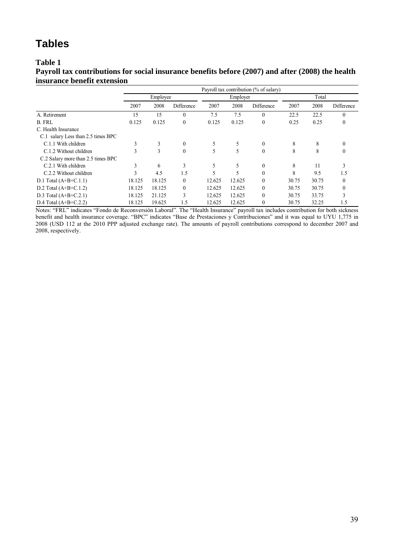#### **Table 1**

**Payroll tax contributions for social insurance benefits before (2007) and after (2008) the health insurance benefit extension** 

|                                    |        | Payroll tax contribution (% of salary) |                  |        |          |              |       |       |            |  |
|------------------------------------|--------|----------------------------------------|------------------|--------|----------|--------------|-------|-------|------------|--|
|                                    |        | Employee                               |                  |        | Employer |              |       | Total |            |  |
|                                    | 2007   | 2008                                   | Difference       | 2007   | 2008     | Difference   | 2007  | 2008  | Difference |  |
| A. Retirement                      | 15     | 15                                     | $\boldsymbol{0}$ | 7.5    | 7.5      | $\theta$     | 22.5  | 22.5  | $\theta$   |  |
| <b>B. FRL</b>                      | 0.125  | 0.125                                  | $\theta$         | 0.125  | 0.125    | $\mathbf{0}$ | 0.25  | 0.25  | $\theta$   |  |
| C. Health Insurance                |        |                                        |                  |        |          |              |       |       |            |  |
| C.1 salary Less than 2.5 times BPC |        |                                        |                  |        |          |              |       |       |            |  |
| C.1.1 With children                | 3      | 3                                      | $\theta$         | 5      | 5        | $\mathbf{0}$ | 8     | 8     | $\theta$   |  |
| C.1.2 Without children             | 3      | 3                                      | $\mathbf{0}$     |        | 5        | $\theta$     | 8     | 8     | 0          |  |
| C.2 Salary more than 2.5 times BPC |        |                                        |                  |        |          |              |       |       |            |  |
| C.2.1 With children                | 3      | 6                                      | 3                | 5      | 5        | $\mathbf{0}$ | 8     | 11    | 3          |  |
| C.2.2 Without children             |        | 4.5                                    | 1.5              |        | 5        | $\theta$     | 8     | 9.5   | 1.5        |  |
| D.1 Total $(A+B+C.1.1)$            | 18.125 | 18.125                                 | $\theta$         | 12.625 | 12.625   | $\theta$     | 30.75 | 30.75 |            |  |
| D.2 Total $(A+B+C.1.2)$            | 18.125 | 18.125                                 | $\theta$         | 12.625 | 12.625   | $\mathbf{0}$ | 30.75 | 30.75 | $\theta$   |  |
| D.3 Total $(A+B+C.2.1)$            | 18.125 | 21.125                                 | 3                | 12.625 | 12.625   | $\theta$     | 30.75 | 33.75 |            |  |
| D.4 Total $(A+B+C.2.2)$            | 18.125 | 19.625                                 | 1.5              | 12.625 | 12.625   | $\mathbf{0}$ | 30.75 | 32.25 | 1.5        |  |

Notes: "FRL" indicates "Fondo de Reconversión Laboral". The "Health Insurance" payroll tax includes contribution for both sickness benefit and health insurance coverage. "BPC" indicates "Base de Prestaciones y Contribuciones" and it was equal to UYU 1,775 in 2008 (USD 112 at the 2010 PPP adjusted exchange rate). The amounts of payroll contributions correspond to december 2007 and 2008, respectively.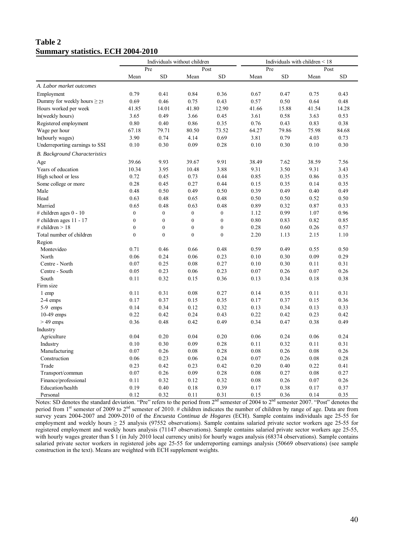#### **Table 2 Summary statistics. ECH 2004-2010**

|                                      |                  | Individuals without children |                  |                  | Individuals with children $\leq 18$ |           |       |           |
|--------------------------------------|------------------|------------------------------|------------------|------------------|-------------------------------------|-----------|-------|-----------|
|                                      | Pre              |                              | Post             |                  | Pre                                 |           |       | Post      |
|                                      | Mean             | <b>SD</b>                    | Mean             | <b>SD</b>        | Mean                                | <b>SD</b> | Mean  | <b>SD</b> |
| A. Labor market outcomes             |                  |                              |                  |                  |                                     |           |       |           |
| Employment                           | 0.79             | 0.41                         | 0.84             | 0.36             | 0.67                                | 0.47      | 0.75  | 0.43      |
| Dummy for weekly hours $\geq$ 25     | 0.69             | 0.46                         | 0.75             | 0.43             | 0.57                                | 0.50      | 0.64  | 0.48      |
| Hours worked per week                | 41.85            | 14.01                        | 41.80            | 12.90            | 41.66                               | 15.88     | 41.54 | 14.28     |
| ln(weekly hours)                     | 3.65             | 0.49                         | 3.66             | 0.45             | 3.61                                | 0.58      | 3.63  | 0.53      |
| Registered employment                | 0.80             | 0.40                         | 0.86             | 0.35             | 0.76                                | 0.43      | 0.83  | 0.38      |
| Wage per hour                        | 67.18            | 79.71                        | 80.50            | 73.52            | 64.27                               | 79.86     | 75.98 | 84.68     |
| ln(hourly wages)                     | 3.90             | 0.74                         | 4.14             | 0.69             | 3.81                                | 0.79      | 4.03  | 0.73      |
| Underreporting earnings to SSI       | 0.10             | 0.30                         | 0.09             | 0.28             | 0.10                                | 0.30      | 0.10  | 0.30      |
| <b>B.</b> Background Characteristics |                  |                              |                  |                  |                                     |           |       |           |
| Age                                  | 39.66            | 9.93                         | 39.67            | 9.91             | 38.49                               | 7.62      | 38.59 | 7.56      |
| Years of education                   | 10.34            | 3.95                         | 10.48            | 3.88             | 9.31                                | 3.50      | 9.31  | 3.43      |
| High school or less                  | 0.72             | 0.45                         | 0.73             | 0.44             | 0.85                                | 0.35      | 0.86  | 0.35      |
| Some college or more                 | 0.28             | 0.45                         | 0.27             | 0.44             | 0.15                                | 0.35      | 0.14  | 0.35      |
| Male                                 | 0.48             | 0.50                         | 0.49             | 0.50             | 0.39                                | 0.49      | 0.40  | 0.49      |
| Head                                 | 0.63             | 0.48                         | 0.65             | 0.48             | 0.50                                | 0.50      | 0.52  | 0.50      |
| Married                              | 0.65             | 0.48                         | 0.63             | 0.48             | 0.89                                | 0.32      | 0.87  | 0.33      |
| # children ages $0 - 10$             | $\boldsymbol{0}$ | $\boldsymbol{0}$             | $\boldsymbol{0}$ | $\boldsymbol{0}$ | 1.12                                | 0.99      | 1.07  | 0.96      |
| # children ages $11 - 17$            | $\boldsymbol{0}$ | $\boldsymbol{0}$             | $\boldsymbol{0}$ | $\boldsymbol{0}$ | 0.80                                | 0.83      | 0.82  | 0.85      |
| # children $> 18$                    | $\overline{0}$   | $\mathbf{0}$                 | $\boldsymbol{0}$ | $\overline{0}$   | 0.28                                | 0.60      | 0.26  | 0.57      |
| Total number of children             | $\theta$         | $\boldsymbol{0}$             | $\boldsymbol{0}$ | $\boldsymbol{0}$ | 2.20                                | 1.13      | 2.15  | 1.10      |
| Region                               |                  |                              |                  |                  |                                     |           |       |           |
| Montevideo                           | 0.71             | 0.46                         | 0.66             | 0.48             | 0.59                                | 0.49      | 0.55  | 0.50      |
| North                                | 0.06             | 0.24                         | 0.06             | 0.23             | 0.10                                | 0.30      | 0.09  | 0.29      |
| Centre - North                       | 0.07             | 0.25                         | 0.08             | 0.27             | 0.10                                | 0.30      | 0.11  | 0.31      |
| Centre - South                       | 0.05             | 0.23                         | 0.06             | 0.23             | 0.07                                | 0.26      | 0.07  | 0.26      |
| South                                | 0.11             | 0.32                         | 0.15             | 0.36             | 0.13                                | 0.34      | 0.18  | 0.38      |
| Firm size                            |                  |                              |                  |                  |                                     |           |       |           |
| 1 emp                                | 0.11             | 0.31                         | 0.08             | 0.27             | 0.14                                | 0.35      | 0.11  | 0.31      |
| 2-4 emps                             | 0.17             | 0.37                         | 0.15             | 0.35             | 0.17                                | 0.37      | 0.15  | 0.36      |
| 5-9 emps                             | 0.14             | 0.34                         | 0.12             | 0.32             | 0.13                                | 0.34      | 0.13  | 0.33      |
| $10-49$ emps                         | 0.22             | 0.42                         | 0.24             | 0.43             | 0.22                                | 0.42      | 0.23  | 0.42      |
| $>$ 49 emps                          | 0.36             | 0.48                         | 0.42             | 0.49             | 0.34                                | 0.47      | 0.38  | 0.49      |
| Industry                             |                  |                              |                  |                  |                                     |           |       |           |
| Agriculture                          | 0.04             | 0.20                         | 0.04             | 0.20             | 0.06                                | 0.24      | 0.06  | 0.24      |
| Industry                             | 0.10             | 0.30                         | 0.09             | 0.28             | 0.11                                | 0.32      | 0.11  | 0.31      |
| Manufacturing                        | 0.07             | 0.26                         | 0.08             | 0.28             | 0.08                                | 0.26      | 0.08  | 0.26      |
| Construction                         | 0.06             | 0.23                         | 0.06             | 0.24             | 0.07                                | 0.26      | 0.08  | 0.28      |
| Trade                                | 0.23             | 0.42                         | 0.23             | 0.42             | 0.20                                | 0.40      | 0.22  | 0.41      |
| Transport/commun                     | 0.07             | 0.26                         | 0.09             | 0.28             | 0.08                                | 0.27      | 0.08  | 0.27      |
| Finance/professional                 | 0.11             | 0.32                         | 0.12             | 0.32             | 0.08                                | 0.26      | 0.07  | 0.26      |
| Education/health                     | 0.19             | 0.40                         | 0.18             | 0.39             | 0.17                                | 0.38      | 0.17  | 0.37      |
| Personal                             | 0.12             | 0.32                         | 0.11             | 0.31             | 0.15                                | 0.36      | 0.14  | 0.35      |

Notes: SD denotes the standard deviation. "Pre" refers to the period from 2<sup>nd</sup> semester of 2004 to 2<sup>nd</sup> semester 2007. "Post" denotes the period from 1<sup>st</sup> semester of 2009 to 2<sup>nd</sup> semester of 2010. # children indicates the number of children by range of age. Data are from survey years 2004-2007 and 2009-2010 of the *Encuesta Continua de Hogares* (ECH). Sample contains individuals age 25-55 for employment and weekly hours ≥ 25 analysis (97552 observations). Sample contains salaried private sector workers age 25-55 for registered employment and weekly hours analysis (71147 observations). Sample contains salaried private sector workers age 25-55, with hourly wages greater than \$ 1 (in July 2010 local currency units) for hourly wages analysis (68374 observations). Sample contains salaried private sector workers in registered jobs age 25-55 for underreporting earnings analysis (50669 observations) (see sample construction in the text). Means are weighted with ECH supplement weights.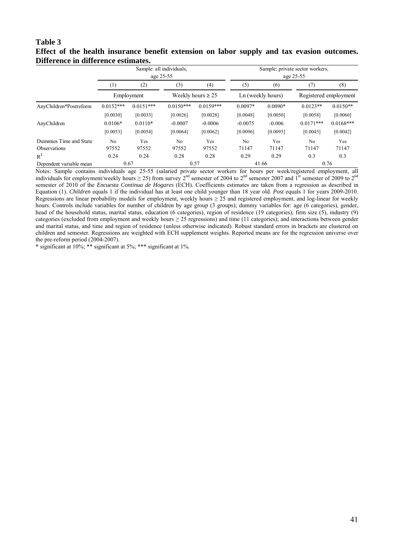#### **Table 3 Effect of the health insurance benefit extension on labor supply and tax evasion outcomes. Difference in difference estimates.**

|                         | Sample: all individuals,<br>age 25-55 |             |                        |             | Sample: private sector workers,<br>age 25-55 |           |                       |             |
|-------------------------|---------------------------------------|-------------|------------------------|-------------|----------------------------------------------|-----------|-----------------------|-------------|
|                         | $\left(1\right)$                      | (2)         | (3)                    | (4)         | (5)                                          | (6)       | (7)                   | (8)         |
|                         | Employment                            |             | Weekly hours $\geq 25$ |             | Ln (weekly hours)                            |           | Registered employment |             |
| AnyChildren*Postreform  | $0.0152***$                           | $0.0151***$ | $0.0150***$            | $0.0159***$ | $0.0097*$                                    | $0.0090*$ | $0.0123**$            | $0.0150**$  |
|                         | [0.0030]                              | [0.0033]    | [0.0026]               | [0.0028]    | [0.0048]                                     | [0.0050]  | [0.0058]              | [0.0060]    |
| AnyChildren             | $0.0106*$                             | $0.0110*$   | $-0.0007$              | $-0.0006$   | $-0.0075$                                    | $-0.006$  | $0.0171***$           | $0.0168***$ |
|                         | [0.0053]                              | [0.0054]    | [0.0064]               | [0.0062]    | [0.0096]                                     | [0.0093]  | [0.0045]              | [0.0042]    |
| Dummies Time and State  | No                                    | Yes         | N <sub>0</sub>         | Yes         | N <sub>0</sub>                               | Yes       | N <sub>0</sub>        | Yes         |
| Observations            | 97552                                 | 97552       | 97552                  | 97552       | 71147                                        | 71147     | 71147                 | 71147       |
| $R^2$                   | 0.24                                  | 0.24        | 0.28                   | 0.28        | 0.29                                         | 0.29      | 0.3                   | 0.3         |
| Dependent variable mean |                                       | 0.67        |                        | 0.57        |                                              | 41.66     |                       | 0.76        |

Notes: Sample contains individuals age 25-55 (salaried private sector workers for hours per week/registered employment, all individuals for employment/weekly hours  $\geq$  25) from survey 2<sup>nd</sup> semester of 2004 to 2<sup>nd</sup> semester 2007 and  $I<sup>st</sup>$  semester of 2009 to 2<sup>nd</sup> semester of 2010 of the *Encuesta Continua de Hogares* (ECH). Coefficients estimates are taken from a regression as described in Equation (1). *Children* equals 1 if the individual has at least one child younger than 18 year old. *Post* equals 1 for years 2009-2010. Regressions are linear probability models for employment, weekly hours  $\geq 25$  and registered employment, and log-linear for weekly hours. Controls include variables for number of children by age group (3 groups); dummy variables for: age (6 categories), gender, head of the household status, marital status, education (6 categories), region of residence (19 categories), firm size (5), industry (9) categories (excluded from employment and weekly hours  $\geq$  25 regressions) and time (11 categories); and interactions between gender and marital status, and time and region of residence (unless otherwise indicated). Robust standard errors in brackets are clustered on children and semester. Regressions are weighted with ECH supplement weights. Reported means are for the regression universe over the pre-reform period (2004-2007).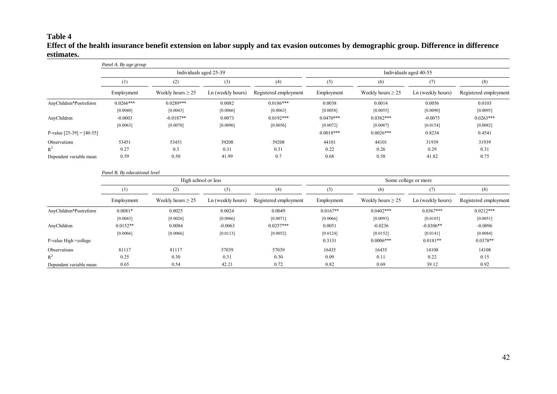#### **Table 4 Effect of the health insurance benefit extension on labor supply and tax evasion outcomes by demographic group. Difference in difference estimates.**

|                             | Panel A. By age group                | Individuals aged 25-39 |                                            |             | Individuals aged 40-55 |                        |                   |                       |
|-----------------------------|--------------------------------------|------------------------|--------------------------------------------|-------------|------------------------|------------------------|-------------------|-----------------------|
|                             | $^{(1)}$                             | (2)                    | (3)<br>(4)                                 |             | (5)                    | (6)                    | (7)               | (8)                   |
|                             | Employment<br>Weekly hours $\geq$ 25 |                        | Ln (weekly hours)<br>Registered employment |             | Employment             | Weekly hours $\geq$ 25 | Ln (weekly hours) | Registered employment |
| AnyChildren*Postreform      | $0.0266***$                          | $0.0289***$            | 0.0082                                     | $0.0186***$ | 0.0038                 | 0.0014                 | 0.0056            | 0.0103                |
|                             | [0.0040]                             | [0.0043]               | [0.0066]                                   | [0.0063]    | [0.0058]               | [0.0055]               | [0.0090]          | [0.0095]              |
| AnyChildren                 | $-0.0003$                            | $-0.0187**$            | 0.0073                                     | $0.0192***$ | $0.0470***$            | $0.0382***$            | $-0.0075$         | $0.0263***$           |
|                             | [0.0063]                             | [0.0070]               | [0.0096]                                   | [0.0056]    | [0.0072]               | [0.0087]               | [0.0154]          | [0.0082]              |
| P-value $[25-39] = [40-55]$ |                                      |                        |                                            |             | $0.0018***$            | $0.0026***$            | 0.8234            | 0.4541                |
| Observations                | 53451                                | 53451                  | 39208                                      | 39208       | 44101                  | 44101                  | 31939             | 31939                 |
| $R^2$                       | 0.27                                 | 0.3                    | 0.31                                       | 0.31        | 0.22                   | 0.26                   | 0.29              | 0.31                  |
| Dependent variable mean     | 0.59                                 | 0.50                   | 41.99                                      | 0.7         | 0.68                   | 0.58                   | 41.82             | 0.75                  |
|                             | Panel B. By educational level        |                        |                                            |             |                        |                        |                   |                       |

|                         |                   | High school or less    |                   |                       | Some college or more |                        |                   |                       |
|-------------------------|-------------------|------------------------|-------------------|-----------------------|----------------------|------------------------|-------------------|-----------------------|
|                         | $\left( 1\right)$ | (2)                    |                   | (4)                   | (5)                  | (6)                    | (7)               | (8)                   |
|                         | Employment        | Weekly hours $\geq$ 25 | Ln (weekly hours) | Registered employment | Employment           | Weekly hours $\geq$ 25 | Ln (weekly hours) | Registered employment |
| AnyChildren*Postreform  | $0.0081*$         | 0.0025                 | 0.0024            | 0.0049                | $0.0167**$           | $0.0402***$            | $0.0367***$       | $0.0212***$           |
|                         | [0.0043]          | [0.0026]               | [0.0066]          | [0.0071]              | [0.0066]             | [0.0093]               | [0.0103]          | [0.0051]              |
| AnyChildren             | $0.0152**$        | 0.0084                 | $-0.0063$         | $0.0257***$           | 0.0051               | $-0.0236$              | $-0.0306**$       | $-0.0096$             |
|                         | [0.0066]          | [0.0066]               | [0.0113]          | [0.0052]              | [0.0124]             | [0.0152]               | [0.0141]          | [0.0084]              |
| P-value High =college   |                   |                        |                   |                       | 0.3131               | $0.0006***$            | $0.0181**$        | $0.0378**$            |
| Observations            | 81117             | 81117                  | 57039             | 57039                 | 16435                | 16435                  | 14108             | 14108                 |
| $R^2$                   | 0.25              | 0.30                   | 0.31              | 0.30                  | 0.09                 | 0.11                   | 0.22              | 0.15                  |
| Dependent variable mean | 0.65              | 0.54                   | 42.21             | 0.72                  | 0.82                 | 0.69                   | 39.12             | 0.92                  |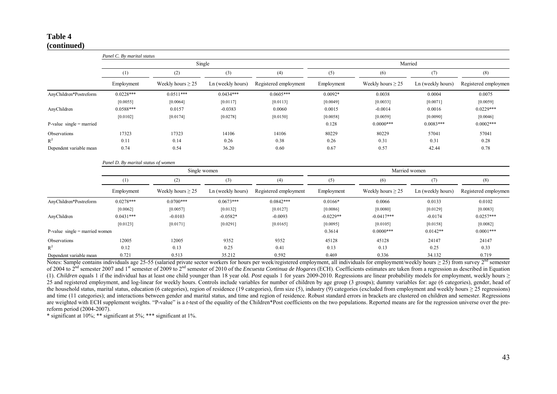#### **Table 4 (continued)**

|                                  | Panel C. By marital status          |                        |                   |                       |               |                        |                   |                       |  |  |
|----------------------------------|-------------------------------------|------------------------|-------------------|-----------------------|---------------|------------------------|-------------------|-----------------------|--|--|
|                                  |                                     |                        | Single            |                       |               | Married                |                   |                       |  |  |
|                                  | (1)                                 | (2)                    | (3)               | (4)                   | (5)           | (6)                    | (7)               | (8)                   |  |  |
|                                  | Employment                          | Weekly hours $\geq$ 25 | Ln (weekly hours) | Registered employment | Employment    | Weekly hours $\geq$ 25 | Ln (weekly hours) | Registered employment |  |  |
| AnyChildren*Postreform           | $0.0228***$                         | $0.0511***$            | $0.0434***$       | $0.0605***$           | $0.0092*$     | 0.0038                 | 0.0004            | 0.0075                |  |  |
|                                  | [0.0055]                            | [0.0064]               | [0.0117]          | [0.0113]              | [0.0049]      | [0.0033]               | [0.0071]          | [0.0059]              |  |  |
| AnyChildren                      | $0.0588***$                         | 0.0157                 | $-0.0383$         | 0.0060                | 0.0015        | $-0.0014$              | 0.0016            | $0.0229***$           |  |  |
|                                  | [0.0102]                            | [0.0174]               | [0.0278]          | [0.0150]              | [0.0058]      | [0.0059]               | [0.0090]          | [0.0046]              |  |  |
| $P-value single = married$       |                                     |                        |                   |                       | 0.128         | $0.0000$ ***           | $0.0083***$       | $0.0002***$           |  |  |
| Observations                     | 17323                               | 17323                  | 14106             | 14106                 | 80229         | 80229                  | 57041             | 57041                 |  |  |
| $R^2$                            | 0.11                                | 0.14                   | 0.26              | 0.38                  | 0.26          | 0.31                   | 0.31              | 0.28                  |  |  |
| Dependent variable mean          | 0.74                                | 0.54                   | 36.20             | 0.60                  | 0.67          | 0.57                   | 42.44             | 0.78                  |  |  |
|                                  | Panel D. By marital status of women |                        |                   |                       |               |                        |                   |                       |  |  |
|                                  |                                     |                        | Single women      |                       | Married women |                        |                   |                       |  |  |
|                                  | (1)                                 | (2)                    | (3)               | (4)                   | (5)           | (6)                    | (7)               | (8)                   |  |  |
|                                  | Employment                          | Weekly hours $\geq$ 25 | Ln (weekly hours) | Registered employment | Employment    | Weekly hours $\geq$ 25 | Ln (weekly hours) | Registered employmen  |  |  |
| AnyChildren*Postreform           | $0.0278***$                         | $0.0700***$            | $0.0673***$       | $0.0842***$           | $0.0166*$     | 0.0066                 | 0.0133            | 0.0102                |  |  |
|                                  | [0.0062]                            | [0.0057]               | [0.0132]          | [0.0127]              | [0.0086]      | [0.0080]               | [0.0129]          | [0.0083]              |  |  |
| AnyChildren                      | $0.0431***$                         | $-0.0103$              | $-0.0582*$        | $-0.0093$             | $-0.0229**$   | $-0.0417***$           | $-0.0174$         | $0.0257***$           |  |  |
|                                  | [0.0123]                            | [0.0171]               | [0.0291]          | [0.0165]              | [0.0095]      | [0.0105]               | [0.0158]          | [0.0082]              |  |  |
| $P-value single = married women$ |                                     |                        |                   |                       | 0.3614        | $0.0000$ ***           | $0.0142**$        | $0.0001***$           |  |  |
| Observations                     | 12005                               | 12005                  | 9352              | 9352                  | 45128         | 45128                  | 24147             | 24147                 |  |  |
| $R^2$                            | 0.12                                | 0.13                   | 0.25              | 0.41                  | 0.13          | 0.13                   | 0.25              | 0.33                  |  |  |
| Dependent variable mean          | 0.721                               | 0.513                  | 35.212            | 0.592                 | 0.469         | 0.336                  | 34.132            | 0.719                 |  |  |

Notes: Sample contains individuals age 25-55 (salaried private sector workers for hours per week/registered employment, all individuals for employment/weekly hours  $\geq$  25) from survey 2<sup>nd</sup> semester of 2004 to 2nd semester 2007 and 1st semester of 2009 to 2nd semester of 2010 of the *Encuesta Continua de Hogares* (ECH). Coefficients estimates are taken from a regression as described in Equation (1). *Children* equals 1 if the individual has at least one child younger than 18 year old. *Post* equals 1 for years 2009-2010. Regressions are linear probability models for employment, weekly hours ≥ 25 and registered employment, and log-linear for weekly hours. Controls include variables for number of children by age group (3 groups); dummy variables for: age (6 categories), gender, head of the household status, marital status, education (6 categories), region of residence (19 categories), firm size (5), industry (9) categories (excluded from employment and weekly hours  $\geq$  25 regressions) and time (11 categories); and interactions between gender and marital status, and time and region of residence. Robust standard errors in brackets are clustered on children and semester. Regressions are weighted with ECH supplement weights. "P-value" is a *t*-test of the equality of the Children\*Post coefficients on the two populations. Reported means are for the regression universe over the prereform period (2004-2007).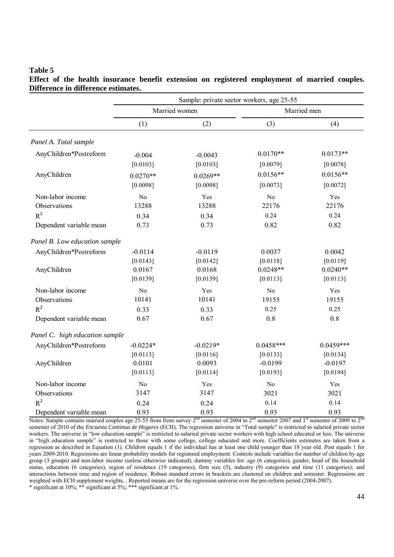|                                                                      | Sample: private sector workers, age 25-55 |                                          |                                        |                                         |  |  |  |
|----------------------------------------------------------------------|-------------------------------------------|------------------------------------------|----------------------------------------|-----------------------------------------|--|--|--|
|                                                                      |                                           | Married women                            |                                        | Married men                             |  |  |  |
|                                                                      | (1)                                       | (2)                                      | (3)                                    | (4)                                     |  |  |  |
| Panel A. Total sample                                                |                                           |                                          |                                        |                                         |  |  |  |
| AnyChildren*Postreform                                               | $-0.004$<br>[0.0103]                      | $-0.0043$<br>[0.0103]                    | $0.0170**$<br>[0.0079]                 | $0.0173**$<br>[0.0078]                  |  |  |  |
| AnyChildren                                                          | $0.0270**$<br>[0.0098]                    | $0.0269**$<br>[0.0098]                   | $0.0156**$<br>[0.0073]                 | $0.0156**$<br>[0.0072]                  |  |  |  |
| Non-labor income<br>Observations                                     | No<br>13288                               | Yes<br>13288                             | N <sub>o</sub><br>22176                | Yes<br>22176                            |  |  |  |
| $R^2$<br>Dependent variable mean                                     | 0.34<br>0.73                              | 0.34<br>0.73                             | 0.24<br>0.82                           | 0.24<br>0.82                            |  |  |  |
| Panel B. Low education sample                                        |                                           |                                          |                                        |                                         |  |  |  |
| AnyChildren*Postreform<br>AnyChildren                                | $-0.0114$<br>[0.0143]<br>0.0167           | $-0.0119$<br>[0.0142]<br>0.0168          | 0.0037<br>[0.0118]<br>$0.0248**$       | 0.0042<br>[0.0119]<br>$0.0240**$        |  |  |  |
| Non-labor income<br>Observations<br>$R^2$<br>Dependent variable mean | [0.0139]<br>No<br>10141<br>0.33<br>0.67   | [0.0139]<br>Yes<br>10141<br>0.33<br>0.67 | [0.0113]<br>No<br>19155<br>0.25<br>0.8 | [0.0113]<br>Yes<br>19155<br>0.25<br>0.8 |  |  |  |
| Panel C. high education sample                                       |                                           |                                          |                                        |                                         |  |  |  |
| AnyChildren*Postreform                                               | $-0.0224*$<br>[0.0113]                    | $-0.0219*$<br>[0.0116]                   | $0.0458***$<br>[0.0133]                | $0.0459***$<br>[0.0134]                 |  |  |  |
| AnyChildren                                                          | 0.0101<br>[0.0113]                        | 0.0093<br>[0.0114]                       | $-0.0199$<br>[0.0193]                  | $-0.0197$<br>[0.0194]                   |  |  |  |
| Non-labor income<br>Observations<br>$R^2$                            | N <sub>o</sub><br>3147                    | Yes<br>3147                              | No<br>3021                             | Yes<br>3021                             |  |  |  |
| Dependent variable mean                                              | 0.24<br>0.93                              | 0.24<br>0.93                             | 0.14<br>0.93                           | 0.14<br>0.93                            |  |  |  |

**Effect of the health insurance benefit extension on registered employment of married couples. Difference in difference estimates.** 

**Table 5** 

Notes: Sample contains married couples age 25-55 from from survey  $2^{nd}$  semester of 2004 to  $2^{nd}$  semester 2007 and  $1^{st}$  semester of 2009 to  $2^{nd}$ semester of 2010 of the *Encuesta Continua de Hogares* (ECH). The regression universe in "Total sample" is restricted to salaried private sector workers. The universe in "low education sample" is restricted to salaried private sector workers with high school educated or less. The universe in "high education sample" is restricted to those with some college, college educated and more. Coefficients estimates are taken from a regression as described in Equation (1). *Children* equals 1 if the individual has at least one child younger than 18 year old. *Post* equals 1 for years 2009-2010. Regressions are linear probability models for registered employment. Controls include variables for number of children by age group (3 groups) and non-labor income (unless otherwise indicated); dummy variables for: age (6 categories), gender, head of the household status, education (6 categories), region of residence (19 categories), firm size (5), industry (9) categories and time (11 categories); and interactions between time and region of residence. Robust standard errors in brackets are clustered on children and semester. Regressions are weighted with ECH supplement weights. . Reported means are for the regression universe over the pre-reform period (2004-2007). \* significant at 10%; \*\* significant at 5%; \*\*\* significant at 1%.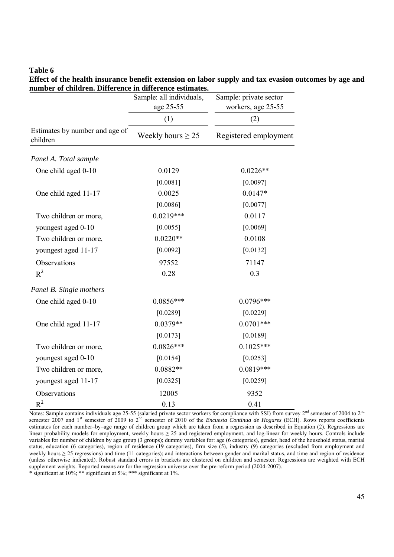$(1)$  (2) Weekly hours  $\geq 25$  Registered employment *Panel A. Total sample* One child aged 0-10 0.0129 0.0226<sup>\*\*</sup> [0.0081] [0.0097] One child aged 11-17 0.0025 0.0147\* [0.0086] [0.0077] Two children or more, 0.0219\*\*\* 0.0117 youngest aged 0-10 [0.0055] [0.0069] Two children or more,  $0.0220**$  0.0108 youngest aged 11-17 [0.0092] [0.0132] Observations 97552 71147  $R^2$  0.28 0.3 *Panel B. Single mothers* One child aged 0-10 0.0856\*\*\* 0.0796\*\*\* [0.0289] [0.0229] One child aged 11-17 0.0379<sup>\*\*</sup> 0.0701<sup>\*\*\*</sup>  $[0.0173]$   $[0.0189]$ Two children or more,  $0.0826***$  0.1025\*\*\* youngest aged 0-10 [0.0154] [0.0253] Two children or more,  $0.0882**$  0.0819\*\*\* youngest aged 11-17 [0.0325] [0.0325] [0.0259] Observations 12005 9352  $R^2$  0.13 0.41 Estimates by number and age of children Sample: private sector workers, age 25-55 Sample: all individuals, age 25-55

**Effect of the health insurance benefit extension on labor supply and tax evasion outcomes by age and number of children. Difference in difference estimates.** 

Notes: Sample contains individuals age 25-55 (salaried private sector workers for compliance with SSI) from survey 2<sup>nd</sup> semester of 2004 to 2<sup>nd</sup> semester 2007 and 1<sup>st</sup> semester of 2009 to 2<sup>nd</sup> semester of 2010 of the *Encuesta Continua de Hogares* (ECH). Rows reports coefficients estimates for each number–by–age range of children group which are taken from a regression as described in Equation (2). Regressions are linear probability models for employment, weekly hours ≥ 25 and registered employment, and log-linear for weekly hours. Controls include variables for number of children by age group (3 groups); dummy variables for: age (6 categories), gender, head of the household status, marital status, education (6 categories), region of residence (19 categories), firm size (5), industry (9) categories (excluded from employment and weekly hours  $\geq$  25 regressions) and time (11 categories); and interactions between gender and marital status, and time and region of residence (unless otherwise indicated). Robust standard errors in brackets are clustered on children and semester. Regressions are weighted with ECH supplement weights. Reported means are for the regression universe over the pre-reform period (2004-2007). \* significant at 10%; \*\* significant at 5%; \*\*\* significant at 1%.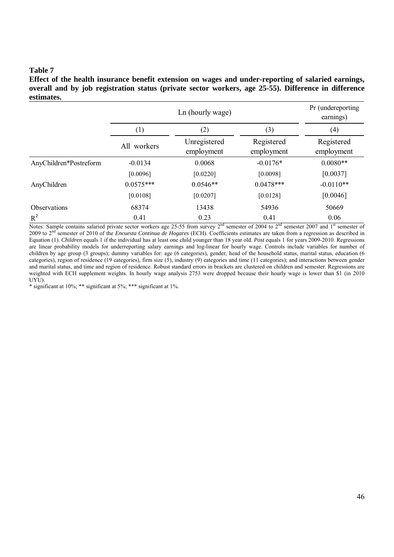**Effect of the health insurance benefit extension on wages and under-reporting of salaried earnings, overall and by job registration status (private sector workers, age 25-55). Difference in difference estimates.** 

|                        |                  | Pr (undereporting<br>earnings) |                          |                          |  |
|------------------------|------------------|--------------------------------|--------------------------|--------------------------|--|
|                        | $\left(1\right)$ | (2)                            |                          | (4)                      |  |
|                        | All workers      | Unregistered<br>employment     | Registered<br>employment | Registered<br>employment |  |
| AnyChildren*Postreform | $-0.0134$        | 0.0068                         | $-0.0176*$               | $0.0080**$               |  |
|                        | [0.0096]         | [0.0220]                       | [0.0098]                 | [0.0037]                 |  |
| AnyChildren            | $0.0575***$      | $0.0546**$                     | $0.0478***$              | $-0.0110**$              |  |
|                        | [0.0108]         | [0.0207]                       | [0.0128]                 | [0.0046]                 |  |
| Observations           | 68374            | 13438                          | 54936                    | 50669                    |  |
| $R^2$                  | 0.41             | 0.23                           | 0.41                     | 0.06                     |  |

Notes: Sample contains salaried private sector workers age 25-55 from survey  $2<sup>nd</sup>$  semester of 2004 to  $2<sup>nd</sup>$  semester 2007 and  $1<sup>st</sup>$  semester of 2009 to 2nd semester of 2010 of the *Encuesta Continua de Hogares* (ECH). Coefficients estimates are taken from a regression as described in Equation (1). *Children* equals 1 if the individual has at least one child younger than 18 year old. *Post* equals 1 for years 2009-2010. Regressions are linear probability models for underreporting salary earnings and log-linear for hourly wage. Controls include variables for number of children by age group (3 groups); dummy variables for: age (6 categories), gender, head of the household status, marital status, education (6 categories), region of residence (19 categories), firm size (5), industry (9) categories and time (11 categories); and interactions between gender and marital status, and time and region of residence. Robust standard errors in brackets are clustered on children and semester. Regressions are weighted with ECH supplement weights. In hourly wage analysis 2753 were dropped because their hourly wage is lower than \$1 (in 2010 UYU).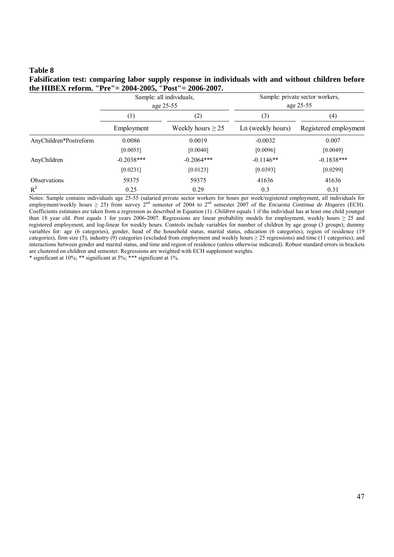| Falsification test: comparing labor supply response in individuals with and without children before |  |
|-----------------------------------------------------------------------------------------------------|--|
| the HIBEX reform. "Pre"= 2004-2005, "Post"= 2006-2007.                                              |  |
|                                                                                                     |  |

|                        |              | Sample: all individuals,<br>age 25-55 | Sample: private sector workers,<br>age 25-55 |                              |  |
|------------------------|--------------|---------------------------------------|----------------------------------------------|------------------------------|--|
|                        | $^{(1)}$     | $\left( 2\right)$                     | (3)                                          | (4)<br>Registered employment |  |
|                        | Employment   | Weekly hours $\geq$ 25                | Ln (weekly hours)                            |                              |  |
| AnyChildren*Postreform | 0.0086       | 0.0019                                | $-0.0032$                                    | 0.007                        |  |
|                        | [0.0055]     | [0.0040]                              | [0.0096]                                     | [0.0049]                     |  |
| AnyChildren            | $-0.2038***$ | $-0.2064***$                          | $-0.1146**$                                  | $-0.1838***$                 |  |
|                        | [0.0231]     | [0.0123]                              | [0.0393]                                     | [0.0299]                     |  |
| <b>Observations</b>    | 59375        | 59375                                 | 41636                                        | 41636                        |  |
| $R^2$                  | 0.25         | 0.29                                  | 0.3                                          | 0.31                         |  |

Notes: Sample contains individuals age 25-55 (salaried private sector workers for hours per week/registered employment, all individuals for employment/weekly hours ≥ 25) from survey 2nd semester of 2004 to 2nd semester 2007 of the *Encuesta Continua de Hogares* (ECH). Coefficients estimates are taken from a regression as described in Equation (1). *Children* equals 1 if the individual has at least one child younger than 18 year old. *Post* equals 1 for years 2006-2007. Regressions are linear probability models for employment, weekly hours  $\geq 25$  and registered employment, and log-linear for weekly hours. Controls include variables for number of children by age group (3 groups); dummy variables for: age (6 categories), gender, head of the household status, marital status, education (6 categories), region of residence (19 categories), firm size (5), industry (9) categories (excluded from employment and weekly hours  $\geq$  25 regressions) and time (11 categories); and interactions between gender and marital status, and time and region of residence (unless otherwise indicated). Robust standard errors in brackets are clustered on children and semester. Regressions are weighted with ECH supplement weights.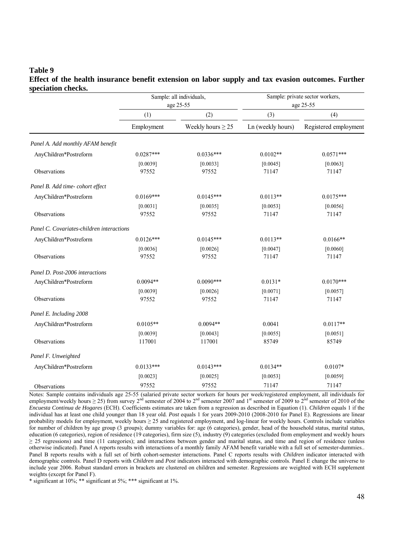#### **Table 9 Effect of the health insurance benefit extension on labor supply and tax evasion outcomes. Further speciation checks.**

| эрсстанон спескэ.                         |             | Sample: all individuals,<br>age 25-55 | Sample: private sector workers,<br>age 25-55 |                       |  |
|-------------------------------------------|-------------|---------------------------------------|----------------------------------------------|-----------------------|--|
|                                           | (1)         | (2)                                   | (3)                                          | (4)                   |  |
|                                           | Employment  | Weekly hours $\geq$ 25                | Ln (weekly hours)                            | Registered employment |  |
| Panel A. Add monthly AFAM benefit         |             |                                       |                                              |                       |  |
| AnyChildren*Postreform                    | $0.0287***$ | $0.0336***$                           | $0.0102**$                                   | $0.0571***$           |  |
|                                           | [0.0039]    | [0.0033]                              | [0.0045]                                     | [0.0063]              |  |
| Observations                              | 97552       | 97552                                 | 71147                                        | 71147                 |  |
| Panel B. Add time- cohort effect          |             |                                       |                                              |                       |  |
| AnyChildren*Postreform                    | $0.0169***$ | $0.0145***$                           | $0.0113**$                                   | $0.0175***$           |  |
|                                           | [0.0031]    | [0.0035]                              | [0.0053]                                     | [0.0056]              |  |
| Observations                              | 97552       | 97552                                 | 71147                                        | 71147                 |  |
| Panel C. Covariates-children interactions |             |                                       |                                              |                       |  |
| AnyChildren*Postreform                    | $0.0126***$ | $0.0145***$                           | $0.0113**$                                   | $0.0166**$            |  |
|                                           | [0.0036]    | [0.0026]                              | [0.0047]                                     | [0.0060]              |  |
| Observations                              | 97552       | 97552                                 | 71147                                        | 71147                 |  |
| Panel D. Post-2006 interactions           |             |                                       |                                              |                       |  |
| AnyChildren*Postreform                    | $0.0094**$  | $0.0090***$                           | $0.0131*$                                    | $0.0170***$           |  |
|                                           | [0.0039]    | [0.0026]                              | [0.0071]                                     | [0.0057]              |  |
| Observations                              | 97552       | 97552                                 | 71147                                        | 71147                 |  |
| Panel E. Including 2008                   |             |                                       |                                              |                       |  |
| AnyChildren*Postreform                    | $0.0105**$  | $0.0094**$                            | 0.0041                                       | $0.0117**$            |  |
|                                           | [0.0039]    | [0.0043]                              | [0.0055]                                     | [0.0051]              |  |
| Observations                              | 117001      | 117001                                | 85749                                        | 85749                 |  |
| Panel F. Unweighted                       |             |                                       |                                              |                       |  |
| AnyChildren*Postreform                    | $0.0133***$ | $0.0143***$                           | $0.0134**$                                   | $0.0107*$             |  |
|                                           | [0.0023]    | [0.0025]                              | [0.0053]                                     | [0.0059]              |  |
| Observations                              | 97552       | 97552                                 | 71147                                        | 71147                 |  |

Notes: Sample contains individuals age 25-55 (salaried private sector workers for hours per week/registered employment, all individuals for employment/weekly hours  $\geq$  25) from survey 2<sup>nd</sup> semester of 2004 to 2<sup>nd</sup> semester 2007 and 1<sup>st</sup> semester of 2009 to 2<sup>nd</sup> semester of 2010 of the *Encuesta Continua de Hogares* (ECH). Coefficients estimates are taken from a regression as described in Equation (1). *Children* equals 1 if the individual has at least one child younger than 18 year old. *Post* equals 1 for years 2009-2010 (2008-2010 for Panel E). Regressions are linear probability models for employment, weekly hours ≥ 25 and registered employment, and log-linear for weekly hours. Controls include variables for number of children by age group (3 groups); dummy variables for: age (6 categories), gender, head of the household status, marital status, education (6 categories), region of residence (19 categories), firm size (5), industry (9) categories (excluded from employment and weekly hours  $\geq$  25 regressions) and time (11 categories); and interactions between gender and marital status, and time and region of residence (unless otherwise indicated). Panel A reports results with interactions of a monthly family AFAM benefit variable with a full set of semester-dummies.. Panel B reports results with a full set of birth cohort-semester interactions. Panel C reports results with *Children* indicator interacted with demographic controls. Panel D reports with *Children* and *Post* indicators interacted with demographic controls. Panel E change the universe to include year 2006. Robust standard errors in brackets are clustered on children and semester. Regressions are weighted with ECH supplement weights (except for Panel F).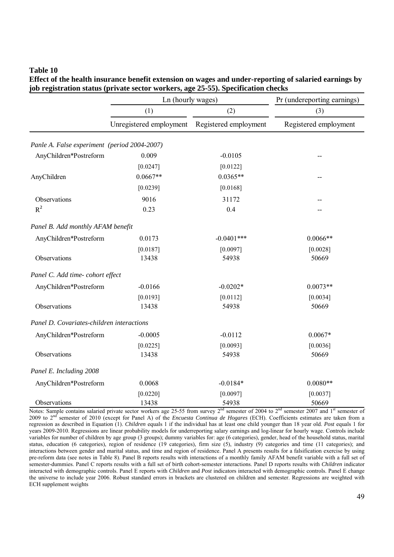**Effect of the health insurance benefit extension on wages and under-reporting of salaried earnings by job registration status (private sector workers, age 25-55). Specification checks** 

|                                              | Ln (hourly wages)       |                       | Pr (undereporting earnings) |  |  |
|----------------------------------------------|-------------------------|-----------------------|-----------------------------|--|--|
|                                              | (1)                     | (2)                   | (3)                         |  |  |
|                                              | Unregistered employment | Registered employment | Registered employment       |  |  |
| Panle A. False experiment (period 2004-2007) |                         |                       |                             |  |  |
| AnyChildren*Postreform                       | 0.009                   | $-0.0105$             |                             |  |  |
|                                              | [0.0247]                | [0.0122]              |                             |  |  |
| AnyChildren                                  | $0.0667**$              | $0.0365**$            |                             |  |  |
|                                              | [0.0239]                | [0.0168]              |                             |  |  |
| Observations                                 | 9016                    | 31172                 |                             |  |  |
| $R^2$                                        | 0.23                    | 0.4                   |                             |  |  |
| Panel B. Add monthly AFAM benefit            |                         |                       |                             |  |  |
| AnyChildren*Postreform                       | 0.0173                  | $-0.0401$ ***         | $0.0066**$                  |  |  |
|                                              | [0.0187]                | [0.0097]              | [0.0028]                    |  |  |
| Observations                                 | 13438                   | 54938                 | 50669                       |  |  |
| Panel C. Add time- cohort effect             |                         |                       |                             |  |  |
| AnyChildren*Postreform                       | $-0.0166$               | $-0.0202*$            | $0.0073**$                  |  |  |
|                                              | [0.0193]                | [0.0112]              | [0.0034]                    |  |  |
| Observations                                 | 13438                   | 54938                 | 50669                       |  |  |
| Panel D. Covariates-children interactions    |                         |                       |                             |  |  |
| AnyChildren*Postreform                       | $-0.0005$               | $-0.0112$             | $0.0067*$                   |  |  |
|                                              | [0.0225]                | [0.0093]              | [0.0036]                    |  |  |
| Observations                                 | 13438                   | 54938                 | 50669                       |  |  |
| Panel E. Including 2008                      |                         |                       |                             |  |  |
| AnyChildren*Postreform                       | 0.0068                  | $-0.0184*$            | $0.0080**$                  |  |  |
|                                              | [0.0220]                | [0.0097]              | [0.0037]                    |  |  |
| Observations                                 | 13438                   | 54938                 | 50669                       |  |  |

Notes: Sample contains salaried private sector workers age 25-55 from survey 2<sup>nd</sup> semester of 2004 to 2<sup>nd</sup> semester 2007 and 1<sup>st</sup> semester of 2009 to 2nd semester of 2010 (except for Panel A) of the *Encuesta Continua de Hogares* (ECH). Coefficients estimates are taken from a regression as described in Equation (1). *Children* equals 1 if the individual has at least one child younger than 18 year old. *Post* equals 1 for years 2009-2010. Regressions are linear probability models for underreporting salary earnings and log-linear for hourly wage. Controls include variables for number of children by age group (3 groups); dummy variables for: age (6 categories), gender, head of the household status, marital status, education (6 categories), region of residence (19 categories), firm size (5), industry (9) categories and time (11 categories); and interactions between gender and marital status, and time and region of residence. Panel A presents results for a falsification exercise by using pre-reform data (see notes in Table 8). Panel B reports results with interactions of a monthly family AFAM benefit variable with a full set of semester-dummies. Panel C reports results with a full set of birth cohort-semester interactions. Panel D reports results with *Children* indicator interacted with demographic controls. Panel E reports with *Children* and *Post* indicators interacted with demographic controls. Panel E change the universe to include year 2006. Robust standard errors in brackets are clustered on children and semester. Regressions are weighted with ECH supplement weights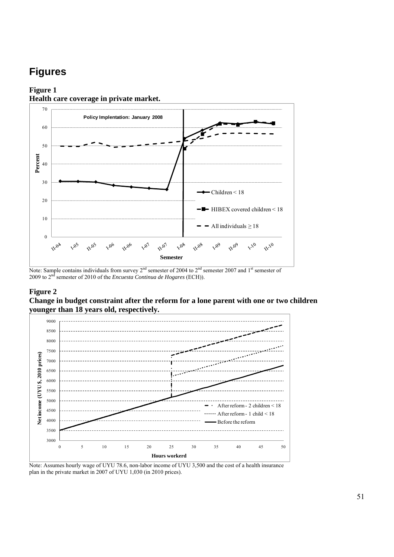# **Figures**

#### **Figure 1 Health care coverage in private market.**



Note: Sample contains individuals from survey 2<sup>nd</sup> semester of 2004 to 2<sup>nd</sup> semester 2007 and 1<sup>st</sup> semester of 2009 to 2nd semester of 2010 of the *Encuesta Continua de Hogares* (ECH)).

#### **Figure 2**

**Change in budget constraint after the reform for a lone parent with one or two children younger than 18 years old, respectively.** 



Note: Assumes hourly wage of UYU 78.6, non-labor income of UYU 3,500 and the cost of a health insurance plan in the private market in 2007 of UYU 1,030 (in 2010 prices).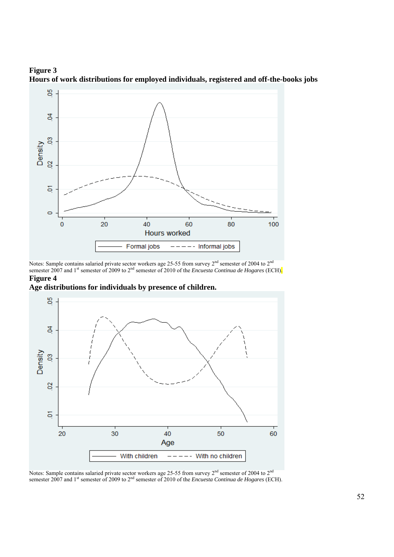

**Figure 3 Hours of work distributions for employed individuals, registered and off-the-books jobs**

Notes: Sample contains salaried private sector workers age 25-55 from survey  $2^{nd}$  semester of 2004 to  $2^{nd}$ semester 2007 and 1<sup>st</sup> semester of 2009 to 2<sup>nd</sup> semester of 2010 of the *Encuesta Continua de Hogares* (ECH). **Figure 4** 

**Age distributions for individuals by presence of children.**



Notes: Sample contains salaried private sector workers age 25-55 from survey  $2<sup>nd</sup>$  semester of 2004 to  $2<sup>nd</sup>$ semester 2007 and 1<sup>st</sup> semester of 2009 to 2<sup>nd</sup> semester of 2010 of the *Encuesta Continua de Hogares* (ECH).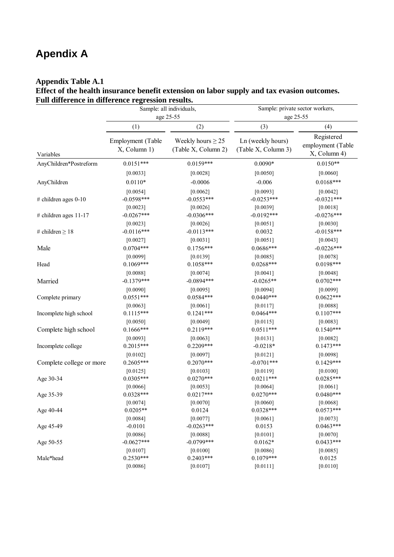# **Apendix A**

### **Appendix Table A.1**

**Effect of the health insurance benefit extension on labor supply and tax evasion outcomes. Full difference in difference regression results.** 

|                          |                                   | Sample: all individuals,<br>age 25-55         | Sample: private sector workers,<br>age 25-55 |                                                 |  |
|--------------------------|-----------------------------------|-----------------------------------------------|----------------------------------------------|-------------------------------------------------|--|
|                          | (1)                               | (2)                                           | (3)                                          | (4)                                             |  |
| Variables                | Employment (Table<br>X, Column 1) | Weekly hours $\geq$ 25<br>(Table X, Column 2) | Ln (weekly hours)<br>(Table X, Column 3)     | Registered<br>employment (Table<br>X, Column 4) |  |
| AnyChildren*Postreform   | $0.0151***$                       | $0.0159***$                                   | $0.0090*$                                    | $0.0150**$                                      |  |
|                          | [0.0033]                          | [0.0028]                                      | [0.0050]                                     | [0.0060]                                        |  |
| AnyChildren              | $0.0110*$                         | $-0.0006$                                     | $-0.006$                                     | $0.0168***$                                     |  |
|                          | [0.0054]                          | [0.0062]                                      | [0.0093]                                     | [0.0042]                                        |  |
| # children ages $0-10$   | $-0.0598***$                      | $-0.0553***$                                  | $-0.0253***$                                 | $-0.0321***$                                    |  |
|                          | [0.0023]                          | [0.0026]                                      | [0.0039]                                     | [0.0018]                                        |  |
| # children ages 11-17    | $-0.0267***$                      | $-0.0306***$                                  | $-0.0192***$                                 | $-0.0276***$                                    |  |
|                          | [0.0023]                          | [0.0026]                                      | [0.0051]                                     | [0.0030]                                        |  |
| # children $\geq 18$     | $-0.0116***$                      | $-0.0113***$                                  | 0.0032                                       | $-0.0158***$                                    |  |
|                          | [0.0027]                          | [0.0031]                                      | [0.0051]                                     | [0.0043]                                        |  |
| Male                     | $0.0704***$                       | $0.1756***$                                   | $0.0686***$                                  | $-0.0226***$                                    |  |
|                          | [0.0099]                          | [0.0139]                                      | [0.0085]                                     | [0.0078]                                        |  |
| Head                     | $0.1069***$                       | $0.1058***$                                   | $0.0268***$                                  | $0.0198***$                                     |  |
|                          | [0.0088]                          | [0.0074]                                      | [0.0041]                                     | [0.0048]                                        |  |
| Married                  | $-0.1379***$                      | $-0.0894***$                                  | $-0.0265**$                                  | $0.0702***$                                     |  |
|                          | [0.0090]                          | [0.0095]                                      | [0.0094]                                     | [0.0099]                                        |  |
| Complete primary         | $0.0551***$                       | $0.0584***$                                   | $0.0440***$                                  | $0.0622***$                                     |  |
|                          | [0.0063]                          | [0.0061]                                      | [0.0117]                                     | [0.0088]                                        |  |
| Incomplete high school   | $0.1115***$                       | $0.1241***$                                   | $0.0464***$                                  | $0.1107***$                                     |  |
|                          | [0.0050]                          | [0.0049]                                      | [0.0115]                                     | [0.0083]                                        |  |
| Complete high school     | $0.1666***$                       | $0.2119***$                                   | $0.0511***$                                  | $0.1540***$                                     |  |
|                          | [0.0093]                          | [0.0063]                                      | [0.0131]                                     | $[0.0082]$                                      |  |
| Incomplete college       | $0.2015***$                       | $0.2209***$                                   | $-0.0218*$                                   | $0.1473***$                                     |  |
|                          | $[0.0102]$                        | [0.0097]                                      | $[0.0121]$                                   | [0.0098]                                        |  |
| Complete college or more | $0.2605***$                       | $0.2070***$                                   | $-0.0701***$                                 | $0.1429***$                                     |  |
|                          | [0.0125]                          | [0.0103]                                      | [0.0119]                                     | [0.0100]                                        |  |
| Age 30-34                | $0.0305***$                       | $0.0270***$                                   | $0.0211***$                                  | $0.0285***$                                     |  |
|                          | [0.0066]                          | [0.0053]                                      | [0.0064]                                     | [0.0061]                                        |  |
| Age 35-39                | $0.0328***$                       | $0.0217***$                                   | $0.0270***$                                  | $0.0480***$                                     |  |
|                          | [0.0074]                          | [0.0070]                                      | [0.0060]                                     | [0.0068]                                        |  |
| Age 40-44                | $0.0205**$                        | 0.0124                                        | $0.0328***$                                  | $0.0573***$                                     |  |
|                          | [0.0084]<br>$-0.0101$             | [0.0077]                                      | [0.0061]                                     | [0.0073]<br>$0.0463***$                         |  |
| Age 45-49                |                                   | $-0.0263***$                                  | 0.0153                                       |                                                 |  |
| Age 50-55                | [0.0086]<br>$-0.0627***$          | [0.0088]<br>$-0.0799***$                      | $[0.0101]$<br>$0.0162*$                      | $[0.0070]$<br>$0.0433***$                       |  |
|                          | [0.0107]                          | [0.0100]                                      | [0.0086]                                     | [0.0085]                                        |  |
| Male*head                | $0.2530***$                       | $0.2403***$                                   | $0.1079***$                                  | 0.0125                                          |  |
|                          | [0.0086]                          | [0.0107]                                      | [0.0111]                                     | [0.0110]                                        |  |
|                          |                                   |                                               |                                              |                                                 |  |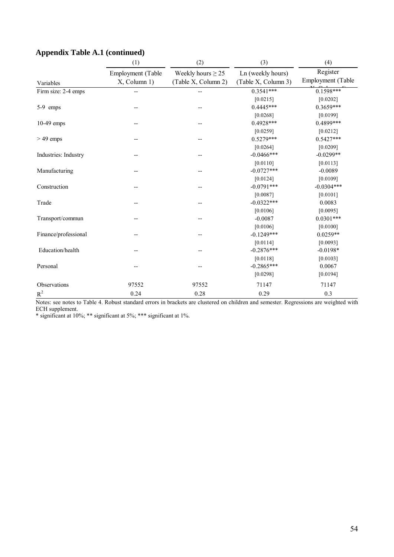|                      | (1)                               | (2)                                           | (3)                                      | (4)                           |  |
|----------------------|-----------------------------------|-----------------------------------------------|------------------------------------------|-------------------------------|--|
| Variables            | Employment (Table<br>X, Column 1) | Weekly hours $\geq$ 25<br>(Table X, Column 2) | Ln (weekly hours)<br>(Table X, Column 3) | Register<br>Employment (Table |  |
| Firm size: 2-4 emps  | --                                | --                                            | $0.3541***$                              | $0.1598***$                   |  |
|                      |                                   |                                               | [0.0215]                                 | [0.0202]                      |  |
| 5-9 emps             |                                   |                                               | $0.4445***$                              | $0.3659***$                   |  |
|                      |                                   |                                               | [0.0268]                                 | [0.0199]                      |  |
| $10-49$ emps         |                                   |                                               | $0.4928***$                              | 0.4899***                     |  |
|                      |                                   |                                               | [0.0259]                                 | [0.0212]                      |  |
| $>49$ emps           |                                   |                                               | $0.5279***$                              | $0.5427***$                   |  |
|                      |                                   |                                               | [0.0264]                                 | [0.0209]                      |  |
| Industries: Industry |                                   |                                               | $-0.0466$ ***                            | $-0.0299**$                   |  |
|                      |                                   |                                               | [0.0110]                                 | [0.0113]                      |  |
| Manufacturing        |                                   |                                               | $-0.0727***$                             | $-0.0089$                     |  |
|                      |                                   |                                               | [0.0124]                                 | [0.0109]                      |  |
| Construction         |                                   |                                               | $-0.0791***$                             | $-0.0304***$                  |  |
|                      |                                   |                                               | [0.0087]                                 | [0.0101]                      |  |
| Trade                |                                   |                                               | $-0.0322***$                             | 0.0083                        |  |
|                      |                                   |                                               | [0.0106]                                 | [0.0095]                      |  |
| Transport/commun     |                                   |                                               | $-0.0087$                                | $0.0301***$                   |  |
|                      |                                   |                                               | [0.0106]                                 | [0.0100]                      |  |
| Finance/professional |                                   |                                               | $-0.1249***$                             | $0.0259**$                    |  |
|                      |                                   |                                               | [0.0114]                                 | [0.0093]                      |  |
| Education/health     |                                   |                                               | $-0.2876***$                             | $-0.0198*$                    |  |
|                      |                                   |                                               | [0.0118]                                 | [0.0103]                      |  |
| Personal             |                                   |                                               | $-0.2865***$                             | 0.0067                        |  |
|                      |                                   |                                               | [0.0298]                                 | [0.0194]                      |  |
| Observations         | 97552                             | 97552                                         | 71147                                    | 71147                         |  |
| $\mathbb{R}^2$       | 0.24                              | 0.28                                          | 0.29                                     | 0.3                           |  |

## **Appendix Table A.1 (continued)**

Notes: see notes to Table 4. Robust standard errors in brackets are clustered on children and semester. Regressions are weighted with ECH supplement.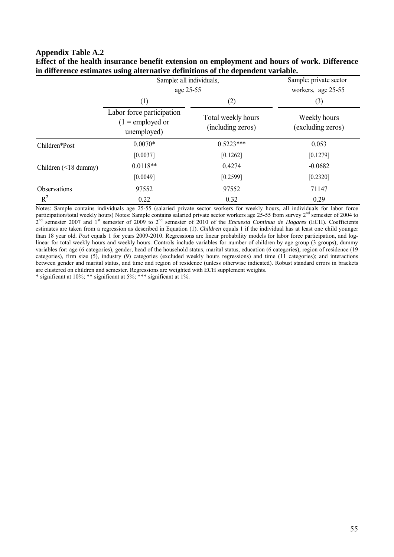#### **Appendix Table A.2**

|                            | Sample: all individuals,<br>age 25-55                          | Sample: private sector<br>workers, age 25-55 |                                          |  |
|----------------------------|----------------------------------------------------------------|----------------------------------------------|------------------------------------------|--|
|                            | (1)                                                            | (2)                                          | (3)<br>Weekly hours<br>(excluding zeros) |  |
|                            | Labor force participation<br>$(1 =$ employed or<br>unemployed) | Total weekly hours<br>(including zeros)      |                                          |  |
| Children*Post              | $0.0070*$                                                      | $0.5223***$                                  | 0.053                                    |  |
|                            | [0.0037]                                                       | [0.1262]                                     | [0.1279]                                 |  |
| Children $(\leq 18$ dummy) | $0.0118**$                                                     | 0.4274                                       | $-0.0682$                                |  |
|                            | [0.0049]                                                       | [0.2599]                                     | [0.2320]                                 |  |
| Observations               | 97552                                                          | 97552                                        | 71147                                    |  |
| $R^2$                      | 0.22                                                           | 0.32                                         | 0.29                                     |  |

**Effect of the health insurance benefit extension on employment and hours of work. Difference in difference estimates using alternative definitions of the dependent variable.** 

Notes: Sample contains individuals age 25-55 (salaried private sector workers for weekly hours, all individuals for labor force participation/total weekly hours) Notes: Sample contains salaried private sector workers age 25-55 from survey 2<sup>nd</sup> semester of 2004 to  $2<sup>nd</sup>$  semester 2007 and 1<sup>st</sup> semester of 2009 to  $2<sup>nd</sup>$  semester of 2010 of the *Encuesta Continua de Hogares* (ECH). Coefficients estimates are taken from a regression as described in Equation (1). *Children* equals 1 if the individual has at least one child younger than 18 year old. *Post* equals 1 for years 2009-2010. Regressions are linear probability models for labor force participation, and loglinear for total weekly hours and weekly hours. Controls include variables for number of children by age group (3 groups); dummy variables for: age (6 categories), gender, head of the household status, marital status, education (6 categories), region of residence (19 categories), firm size (5), industry (9) categories (excluded weekly hours regressions) and time (11 categories); and interactions between gender and marital status, and time and region of residence (unless otherwise indicated). Robust standard errors in brackets are clustered on children and semester. Regressions are weighted with ECH supplement weights.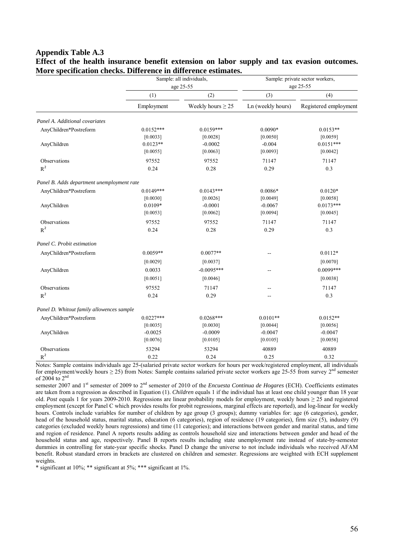#### **Appendix Table A.3 Effect of the health insurance benefit extension on labor supply and tax evasion outcomes. More specification checks. Difference in difference estimates.**

|                                            | Sample: all individuals, |                        | Sample: private sector workers, |                       |  |
|--------------------------------------------|--------------------------|------------------------|---------------------------------|-----------------------|--|
|                                            |                          | age 25-55              |                                 | age 25-55             |  |
|                                            | (1)                      | (2)                    | (3)                             | (4)                   |  |
|                                            | Employment               | Weekly hours $\geq$ 25 | Ln (weekly hours)               | Registered employment |  |
| Panel A. Additional covariates             |                          |                        |                                 |                       |  |
| AnyChildren*Postreform                     | $0.0152***$              | $0.0159***$            | $0.0090*$                       | $0.0153**$            |  |
|                                            | [0.0033]                 | [0.0028]               | [0.0050]                        | [0.0059]              |  |
| AnyChildren                                | $0.0123**$               | $-0.0002$              | $-0.004$                        | $0.0151***$           |  |
|                                            | [0.0055]                 | [0.0063]               | [0.0093]                        | [0.0042]              |  |
| Observations                               | 97552                    | 97552                  | 71147                           | 71147                 |  |
| $R^2$                                      | 0.24                     | 0.28                   | 0.29                            | 0.3                   |  |
| Panel B. Adds department unemployment rate |                          |                        |                                 |                       |  |
| AnyChildren*Postreform                     | $0.0149***$              | $0.0143***$            | $0.0086*$                       | $0.0120*$             |  |
|                                            | [0.0030]                 | [0.0026]               | [0.0049]                        | [0.0058]              |  |
| AnyChildren                                | $0.0109*$                | $-0.0001$              | $-0.0067$                       | $0.0173***$           |  |
|                                            | [0.0053]                 | [0.0062]               | [0.0094]                        | [0.0045]              |  |
| Observations                               | 97552                    | 97552                  | 71147                           | 71147                 |  |
| $R^2$                                      | 0.24                     | 0.28                   | 0.29                            | 0.3                   |  |
| Panel C. Probit estimation                 |                          |                        |                                 |                       |  |
| AnyChildren*Postreform                     | $0.0059**$               | $0.0077**$             |                                 | $0.0112*$             |  |
|                                            | [0.0029]                 | [0.0037]               |                                 | [0.0070]              |  |
| AnyChildren                                | 0.0033                   | $-0.0095***$           |                                 | $0.0099***$           |  |
|                                            | [0.0051]                 | [0.0046]               |                                 | [0.0038]              |  |
| Observations                               | 97552                    | 71147                  |                                 | 71147                 |  |
| $R^2$                                      | 0.24                     | 0.29<br>$-$            |                                 | 0.3                   |  |
| Panel D. Whitout family allowences sample  |                          |                        |                                 |                       |  |
| AnyChildren*Postreform                     | $0.0227***$              | $0.0268***$            | $0.0101**$                      | $0.0152**$            |  |
|                                            | [0.0035]                 | [0.0030]               | [0.0044]                        | [0.0056]              |  |
| AnyChildren                                | $-0.0025$                | $-0.0009$              | $-0.0047$                       | $-0.0047$             |  |
|                                            | [0.0076]                 | [0.0105]               | [0.0105]                        | [0.0058]              |  |
| Observations                               | 53294                    | 53294                  | 40889                           | 40889                 |  |
| $R^2$                                      | 0.22                     | 0.24                   | 0.25                            | 0.32                  |  |

Notes: Sample contains individuals age 25-(salaried private sector workers for hours per week/registered employment, all individuals for employment/weekly hours  $\geq$  25) from Notes: Sample contains salaried private sector workers age 25-55 from survey 2<sup>nd</sup> semester of 2004 to  $2^{nc}$ 

semester 2007 and 1<sup>st</sup> semester of 2009 to 2<sup>nd</sup> semester of 2010 of the *Encuesta Continua de Hogares* (ECH). Coefficients estimates are taken from a regression as described in Equation (1). *Children* equals 1 if the individual has at least one child younger than 18 year old. *Post* equals 1 for years 2009-2010. Regressions are linear probability models for employment, weekly hours  $\geq 25$  and registered employment (except for Panel C which provides results for probit regressions, marginal effects are reported), and log-linear for weekly hours. Controls include variables for number of children by age group (3 groups); dummy variables for: age (6 categories), gender, head of the household status, marital status, education (6 categories), region of residence (19 categories), firm size (5), industry (9) categories (excluded weekly hours regressions) and time (11 categories); and interactions between gender and marital status, and time and region of residence. Panel A reports results adding as controls household size and interactions between gender and head of the household status and age, respectively. Panel B reports results including state unemployment rate instead of state-by-semester dummies in controlling for state-year specific shocks. Panel D change the universe to not include individuals who received AFAM benefit. Robust standard errors in brackets are clustered on children and semester. Regressions are weighted with ECH supplement weights.